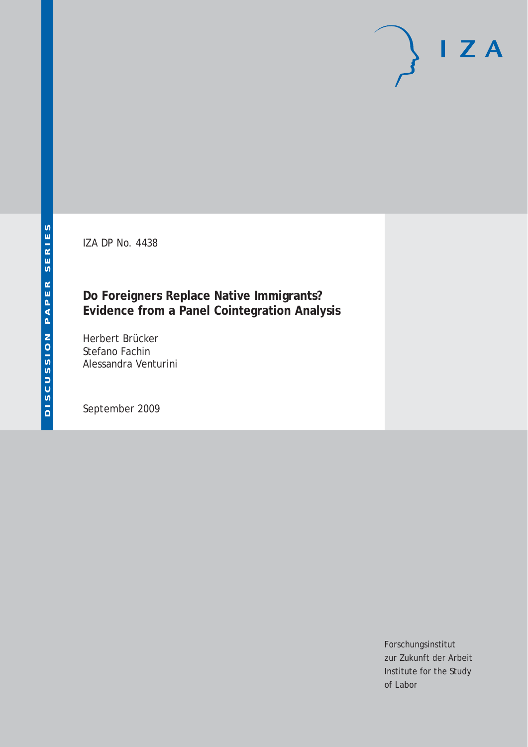IZA DP No. 4438

# **Do Foreigners Replace Native Immigrants? Evidence from a Panel Cointegration Analysis**

Herbert Brücker Stefano Fachin Alessandra Venturini

September 2009

Forschungsinstitut zur Zukunft der Arbeit Institute for the Study of Labor

 $I Z A$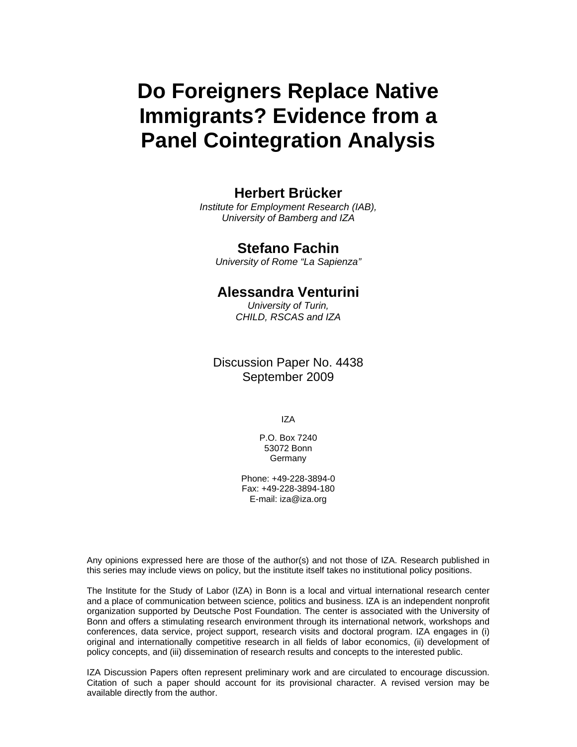# **Do Foreigners Replace Native Immigrants? Evidence from a Panel Cointegration Analysis**

# **Herbert Brücker**

*Institute for Employment Research (IAB), University of Bamberg and IZA* 

## **Stefano Fachin**

*University of Rome "La Sapienza"*

# **Alessandra Venturini**

*University of Turin, CHILD, RSCAS and IZA* 

Discussion Paper No. 4438 September 2009

IZA

P.O. Box 7240 53072 Bonn Germany

Phone: +49-228-3894-0 Fax: +49-228-3894-180 E-mail: iza@iza.org

Any opinions expressed here are those of the author(s) and not those of IZA. Research published in this series may include views on policy, but the institute itself takes no institutional policy positions.

The Institute for the Study of Labor (IZA) in Bonn is a local and virtual international research center and a place of communication between science, politics and business. IZA is an independent nonprofit organization supported by Deutsche Post Foundation. The center is associated with the University of Bonn and offers a stimulating research environment through its international network, workshops and conferences, data service, project support, research visits and doctoral program. IZA engages in (i) original and internationally competitive research in all fields of labor economics, (ii) development of policy concepts, and (iii) dissemination of research results and concepts to the interested public.

IZA Discussion Papers often represent preliminary work and are circulated to encourage discussion. Citation of such a paper should account for its provisional character. A revised version may be available directly from the author.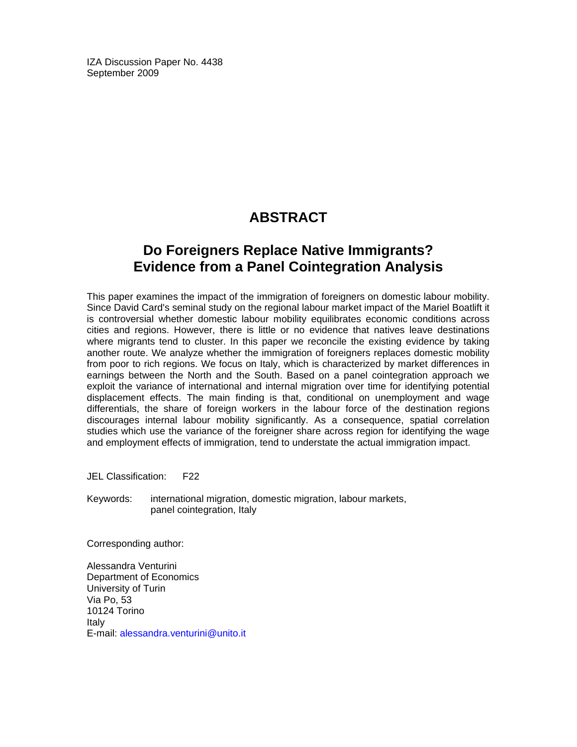IZA Discussion Paper No. 4438 September 2009

# **ABSTRACT**

# **Do Foreigners Replace Native Immigrants? Evidence from a Panel Cointegration Analysis**

This paper examines the impact of the immigration of foreigners on domestic labour mobility. Since David Card's seminal study on the regional labour market impact of the Mariel Boatlift it is controversial whether domestic labour mobility equilibrates economic conditions across cities and regions. However, there is little or no evidence that natives leave destinations where migrants tend to cluster. In this paper we reconcile the existing evidence by taking another route. We analyze whether the immigration of foreigners replaces domestic mobility from poor to rich regions. We focus on Italy, which is characterized by market differences in earnings between the North and the South. Based on a panel cointegration approach we exploit the variance of international and internal migration over time for identifying potential displacement effects. The main finding is that, conditional on unemployment and wage differentials, the share of foreign workers in the labour force of the destination regions discourages internal labour mobility significantly. As a consequence, spatial correlation studies which use the variance of the foreigner share across region for identifying the wage and employment effects of immigration, tend to understate the actual immigration impact.

JEL Classification: F22

Keywords: international migration, domestic migration, labour markets, panel cointegration, Italy

Corresponding author:

Alessandra Venturini Department of Economics University of Turin Via Po, 53 10124 Torino Italy E-mail: alessandra.venturini@unito.it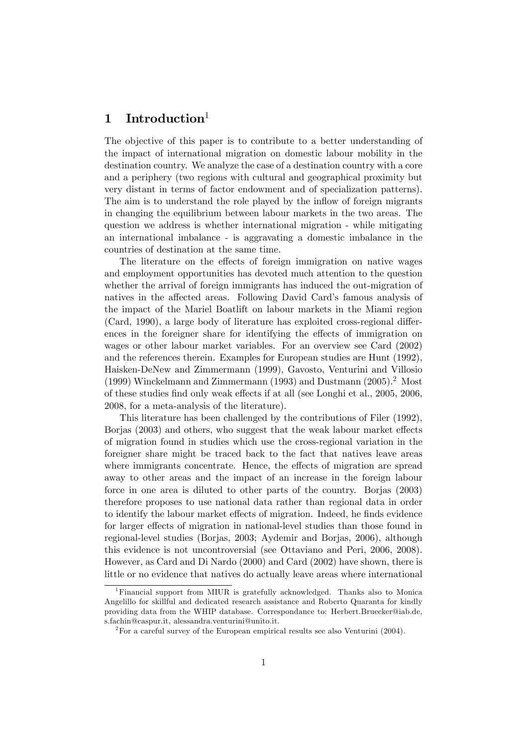## 1 Introduction

The objective of this paper is to contribute to a better understanding of the impact of international migration on domestic labour mobility in the destination country. We analyze the case of a destination country with a core and a periphery (two regions with cultural and geographical proximity but very distant in terms of factor endowment and of specialization patterns). The aim is to understand the role played by the inflow of foreign migrants in changing the equilibrium between labour markets in the two areas. The question we address is whether international migration - while mitigating an international imbalance - is aggravating a domestic imbalance in the countries of destination at the same time.

The literature on the effects of foreign immigration on native wages and employment opportunities has devoted much attention to the question whether the arrival of foreign immigrants has induced the out-migration of natives in the affected areas. Following David Card's famous analysis of the impact of the Mariel Boatlift on labour markets in the Miami region  $(Card, 1990)$ , a large body of literature has exploited cross-regional differences in the foreigner share for identifying the effects of immigration on wages or other labour market variables. For an overview see Card (2002) and the references therein. Examples for European studies are Hunt (1992), Haisken-DeNew and Zimmermann (1999), Gavosto, Venturini and Villosio (1999) Winckelmann and Zimmermann (1993) and Dustmann (2005).<sup>2</sup> Most of these studies find only weak effects if at all (see Longhi et al., 2005, 2006, 2008, for a meta-analysis of the literature).

This literature has been challenged by the contributions of Filer (1992), Borjas (2003) and others, who suggest that the weak labour market effects of migration found in studies which use the cross-regional variation in the foreigner share might be traced back to the fact that natives leave areas where immigrants concentrate. Hence, the effects of migration are spread away to other areas and the impact of an increase in the foreign labour force in one area is diluted to other parts of the country. Borjas (2003) therefore proposes to use national data rather than regional data in order to identify the labour market effects of migration. Indeed, he finds evidence for larger effects of migration in national-level studies than those found in regional-level studies (Borjas, 2003; Aydemir and Borjas, 2006), although this evidence is not uncontroversial (see Ottaviano and Peri, 2006, 2008). However, as Card and Di Nardo (2000) and Card (2002) have shown, there is little or no evidence that natives do actually leave areas where international

<sup>&</sup>lt;sup>1</sup>Financial support from MIUR is gratefully acknowledged. Thanks also to Monica Angelillo for skillful and dedicated research assistance and Roberto Quaranta for kindly providing data from the WHIP database. Correspondance to: Herbert.Bruecker@iab.de, s.fachin@caspur.it, alessandra.venturini@unito.it.

 $2^2$  For a careful survey of the European empirical results see also Venturini (2004).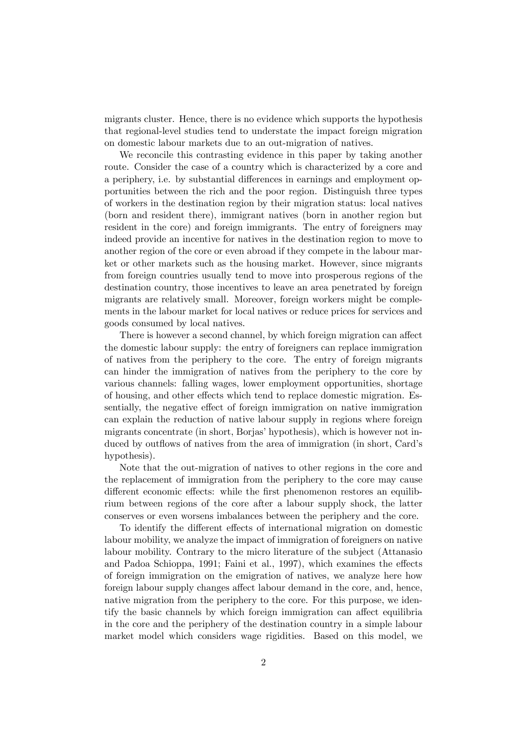migrants cluster. Hence, there is no evidence which supports the hypothesis that regional-level studies tend to understate the impact foreign migration on domestic labour markets due to an out-migration of natives.

We reconcile this contrasting evidence in this paper by taking another route. Consider the case of a country which is characterized by a core and a periphery, i.e. by substantial differences in earnings and employment opportunities between the rich and the poor region. Distinguish three types of workers in the destination region by their migration status: local natives (born and resident there), immigrant natives (born in another region but resident in the core) and foreign immigrants. The entry of foreigners may indeed provide an incentive for natives in the destination region to move to another region of the core or even abroad if they compete in the labour market or other markets such as the housing market. However, since migrants from foreign countries usually tend to move into prosperous regions of the destination country, those incentives to leave an area penetrated by foreign migrants are relatively small. Moreover, foreign workers might be complements in the labour market for local natives or reduce prices for services and goods consumed by local natives.

There is however a second channel, by which foreign migration can affect the domestic labour supply: the entry of foreigners can replace immigration of natives from the periphery to the core. The entry of foreign migrants can hinder the immigration of natives from the periphery to the core by various channels: falling wages, lower employment opportunities, shortage of housing, and other effects which tend to replace domestic migration. Essentially, the negative effect of foreign immigration on native immigration can explain the reduction of native labour supply in regions where foreign migrants concentrate (in short, Borjas' hypothesis), which is however not induced by outflows of natives from the area of immigration (in short, Card's hypothesis).

Note that the out-migration of natives to other regions in the core and the replacement of immigration from the periphery to the core may cause different economic effects: while the first phenomenon restores an equilibrium between regions of the core after a labour supply shock, the latter conserves or even worsens imbalances between the periphery and the core.

To identify the different effects of international migration on domestic labour mobility, we analyze the impact of immigration of foreigners on native labour mobility. Contrary to the micro literature of the subject (Attanasio and Padoa Schioppa, 1991; Faini et al., 1997), which examines the effects of foreign immigration on the emigration of natives, we analyze here how foreign labour supply changes affect labour demand in the core, and, hence, native migration from the periphery to the core. For this purpose, we identify the basic channels by which foreign immigration can affect equilibria in the core and the periphery of the destination country in a simple labour market model which considers wage rigidities. Based on this model, we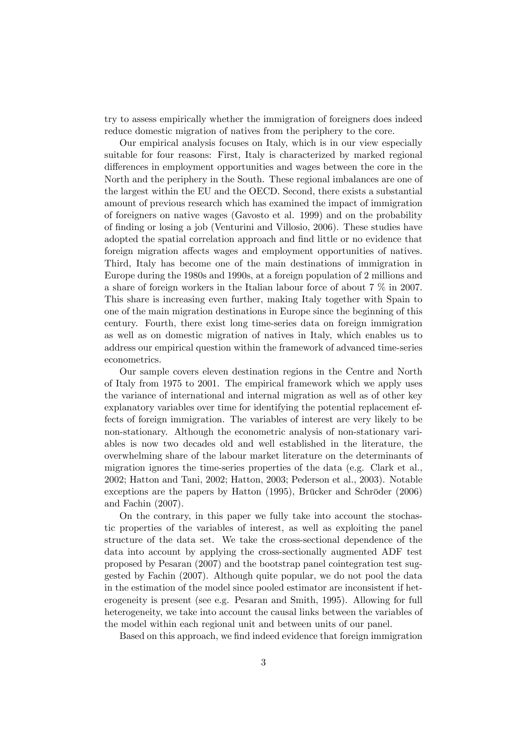try to assess empirically whether the immigration of foreigners does indeed reduce domestic migration of natives from the periphery to the core.

Our empirical analysis focuses on Italy, which is in our view especially suitable for four reasons: First, Italy is characterized by marked regional differences in employment opportunities and wages between the core in the North and the periphery in the South. These regional imbalances are one of the largest within the EU and the OECD. Second, there exists a substantial amount of previous research which has examined the impact of immigration of foreigners on native wages (Gavosto et al. 1999) and on the probability of finding or losing a job (Venturini and Villosio, 2006). These studies have adopted the spatial correlation approach and find little or no evidence that foreign migration affects wages and employment opportunities of natives. Third, Italy has become one of the main destinations of immigration in Europe during the 1980s and 1990s, at a foreign population of 2 millions and a share of foreign workers in the Italian labour force of about 7 % in 2007. This share is increasing even further, making Italy together with Spain to one of the main migration destinations in Europe since the beginning of this century. Fourth, there exist long time-series data on foreign immigration as well as on domestic migration of natives in Italy, which enables us to address our empirical question within the framework of advanced time-series econometrics.

Our sample covers eleven destination regions in the Centre and North of Italy from 1975 to 2001. The empirical framework which we apply uses the variance of international and internal migration as well as of other key explanatory variables over time for identifying the potential replacement effects of foreign immigration. The variables of interest are very likely to be non-stationary. Although the econometric analysis of non-stationary variables is now two decades old and well established in the literature, the overwhelming share of the labour market literature on the determinants of migration ignores the time-series properties of the data (e.g. Clark et al., 2002; Hatton and Tani, 2002; Hatton, 2003; Pederson et al., 2003). Notable exceptions are the papers by Hatton  $(1995)$ , Brücker and Schröder  $(2006)$ and Fachin (2007).

On the contrary, in this paper we fully take into account the stochastic properties of the variables of interest, as well as exploiting the panel structure of the data set. We take the cross-sectional dependence of the data into account by applying the cross-sectionally augmented ADF test proposed by Pesaran (2007) and the bootstrap panel cointegration test suggested by Fachin (2007). Although quite popular, we do not pool the data in the estimation of the model since pooled estimator are inconsistent if heterogeneity is present (see e.g. Pesaran and Smith, 1995). Allowing for full heterogeneity, we take into account the causal links between the variables of the model within each regional unit and between units of our panel.

Based on this approach, we find indeed evidence that foreign immigration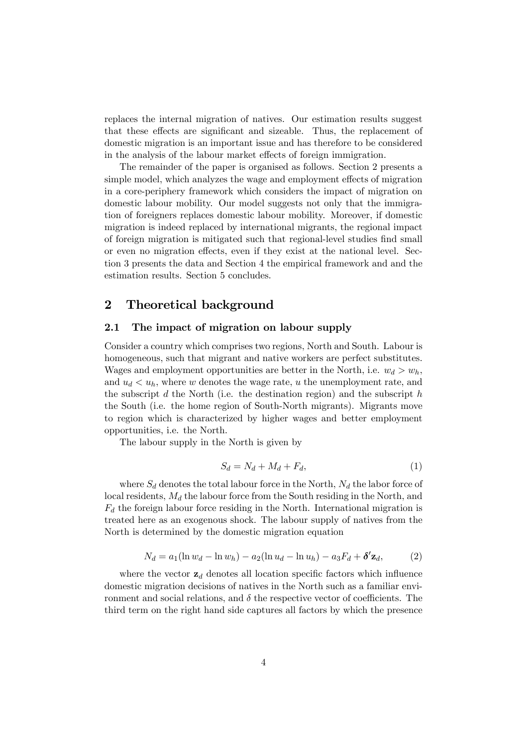replaces the internal migration of natives. Our estimation results suggest that these effects are significant and sizeable. Thus, the replacement of domestic migration is an important issue and has therefore to be considered in the analysis of the labour market effects of foreign immigration.

The remainder of the paper is organised as follows. Section 2 presents a simple model, which analyzes the wage and employment effects of migration in a core-periphery framework which considers the impact of migration on domestic labour mobility. Our model suggests not only that the immigration of foreigners replaces domestic labour mobility. Moreover, if domestic migration is indeed replaced by international migrants, the regional impact of foreign migration is mitigated such that regional-level studies find small or even no migration effects, even if they exist at the national level. Section 3 presents the data and Section 4 the empirical framework and and the estimation results. Section 5 concludes.

## 2 Theoretical background

## 2.1 The impact of migration on labour supply

Consider a country which comprises two regions, North and South. Labour is homogeneous, such that migrant and native workers are perfect substitutes. Wages and employment opportunities are better in the North, i.e.  $w_d > w_h$ , and  $u_d < u_h$ , where w denotes the wage rate, u the unemployment rate, and the subscript  $d$  the North (i.e. the destination region) and the subscript  $h$ the South (i.e. the home region of South-North migrants). Migrants move to region which is characterized by higher wages and better employment opportunities, i.e. the North.

The labour supply in the North is given by

$$
S_d = N_d + M_d + F_d,\tag{1}
$$

where  $S_d$  denotes the total labour force in the North,  $N_d$  the labor force of local residents,  $M_d$  the labour force from the South residing in the North, and  $F_d$  the foreign labour force residing in the North. International migration is treated here as an exogenous shock. The labour supply of natives from the North is determined by the domestic migration equation

$$
N_d = a_1(\ln w_d - \ln w_h) - a_2(\ln u_d - \ln u_h) - a_3 F_d + \delta' \mathbf{z}_d, \tag{2}
$$

where the vector  $\mathbf{z}_d$  denotes all location specific factors which influence domestic migration decisions of natives in the North such as a familiar environment and social relations, and  $\delta$  the respective vector of coefficients. The third term on the right hand side captures all factors by which the presence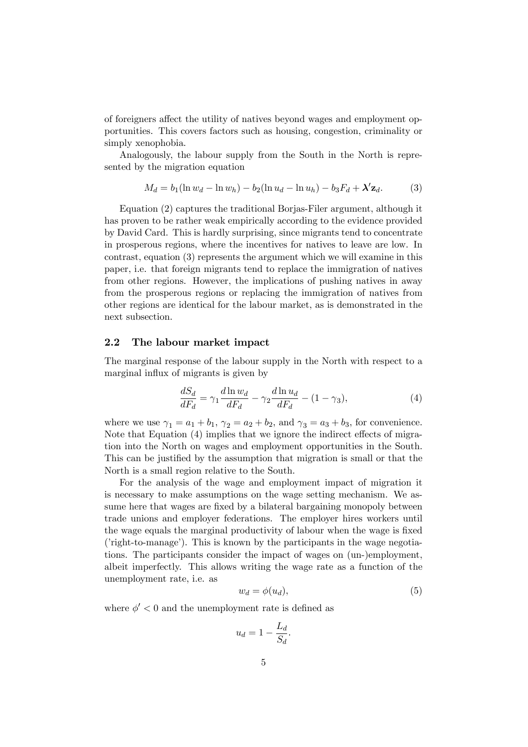of foreigners affect the utility of natives beyond wages and employment opportunities. This covers factors such as housing, congestion, criminality or simply xenophobia.

Analogously, the labour supply from the South in the North is represented by the migration equation

$$
M_d = b_1(\ln w_d - \ln w_h) - b_2(\ln u_d - \ln u_h) - b_3 F_d + \lambda' \mathbf{z}_d. \tag{3}
$$

Equation (2) captures the traditional Borjas-Filer argument, although it has proven to be rather weak empirically according to the evidence provided by David Card. This is hardly surprising, since migrants tend to concentrate in prosperous regions, where the incentives for natives to leave are low. In contrast, equation (3) represents the argument which we will examine in this paper, i.e. that foreign migrants tend to replace the immigration of natives from other regions. However, the implications of pushing natives in away from the prosperous regions or replacing the immigration of natives from other regions are identical for the labour market, as is demonstrated in the next subsection.

## 2.2 The labour market impact

The marginal response of the labour supply in the North with respect to a marginal influx of migrants is given by

$$
\frac{dS_d}{dF_d} = \gamma_1 \frac{d\ln w_d}{dF_d} - \gamma_2 \frac{d\ln u_d}{dF_d} - (1 - \gamma_3),\tag{4}
$$

where we use  $\gamma_1 = a_1 + b_1$ ,  $\gamma_2 = a_2 + b_2$ , and  $\gamma_3 = a_3 + b_3$ , for convenience. Note that Equation  $(4)$  implies that we ignore the indirect effects of migration into the North on wages and employment opportunities in the South. This can be justified by the assumption that migration is small or that the North is a small region relative to the South.

For the analysis of the wage and employment impact of migration it is necessary to make assumptions on the wage setting mechanism. We assume here that wages are fixed by a bilateral bargaining monopoly between trade unions and employer federations. The employer hires workers until the wage equals the marginal productivity of labour when the wage is fixed  $(i)$  right-to-manage<sup> $(i)$ </sup>. This is known by the participants in the wage negotiations. The participants consider the impact of wages on (un-)employment, albeit imperfectly. This allows writing the wage rate as a function of the unemployment rate, i.e. as

$$
w_d = \phi(u_d),\tag{5}
$$

where  $\phi' < 0$  and the unemployment rate is defined as

$$
u_d = 1 - \frac{L_d}{S_d}.
$$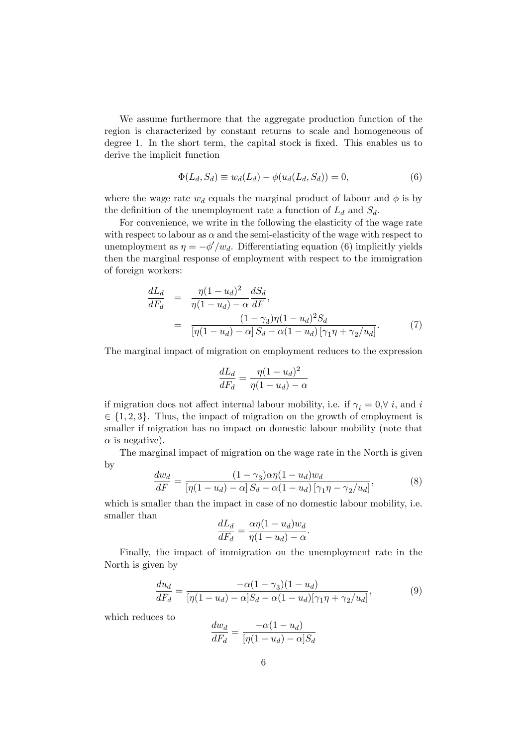We assume furthermore that the aggregate production function of the region is characterized by constant returns to scale and homogeneous of degree 1. In the short term, the capital stock is fixed. This enables us to derive the implicit function

$$
\Phi(L_d, S_d) \equiv w_d(L_d) - \phi(u_d(L_d, S_d)) = 0,\tag{6}
$$

where the wage rate  $w_d$  equals the marginal product of labour and  $\phi$  is by the definition of the unemployment rate a function of  $L_d$  and  $S_d$ .

For convenience, we write in the following the elasticity of the wage rate with respect to labour as  $\alpha$  and the semi-elasticity of the wage with respect to unemployment as  $\eta = -\phi'/w_d$ . Differentiating equation (6) implicitly yields then the marginal response of employment with respect to the immigration of foreign workers:

$$
\frac{dL_d}{dF_d} = \frac{\eta (1 - u_d)^2}{\eta (1 - u_d) - \alpha} \frac{dS_d}{dF},
$$
\n
$$
= \frac{(1 - \gamma_3)\eta (1 - u_d)^2 S_d}{[\eta (1 - u_d) - \alpha] S_d - \alpha (1 - u_d) [\gamma_1 \eta + \gamma_2 / u_d]}.
$$
\n(7)

The marginal impact of migration on employment reduces to the expression

$$
\frac{dL_d}{dF_d} = \frac{\eta(1 - u_d)^2}{\eta(1 - u_d) - \alpha}
$$

if migration does not affect internal labour mobility, i.e. if  $\gamma_i = 0, \forall i$ , and i  $\in \{1, 2, 3\}$ . Thus, the impact of migration on the growth of employment is smaller if migration has no impact on domestic labour mobility (note that  $\alpha$  is negative).

The marginal impact of migration on the wage rate in the North is given by

$$
\frac{dw_d}{dF} = \frac{(1-\gamma_3)\alpha\eta(1-u_d)w_d}{\left[\eta(1-u_d)-\alpha\right]S_d - \alpha(1-u_d)\left[\gamma_1\eta - \gamma_2/u_d\right]},\tag{8}
$$

which is smaller than the impact in case of no domestic labour mobility, i.e. smaller than

$$
\frac{dL_d}{dF_d} = \frac{\alpha \eta (1 - u_d) w_d}{\eta (1 - u_d) - \alpha}.
$$

Finally, the impact of immigration on the unemployment rate in the North is given by

$$
\frac{du_d}{dF_d} = \frac{-\alpha(1 - \gamma_3)(1 - u_d)}{[\eta(1 - u_d) - \alpha]S_d - \alpha(1 - u_d)[\gamma_1\eta + \gamma_2/u_d]},
$$
\n(9)

which reduces to

$$
\frac{dw_d}{dF_d} = \frac{-\alpha(1 - u_d)}{[\eta(1 - u_d) - \alpha]S_d}
$$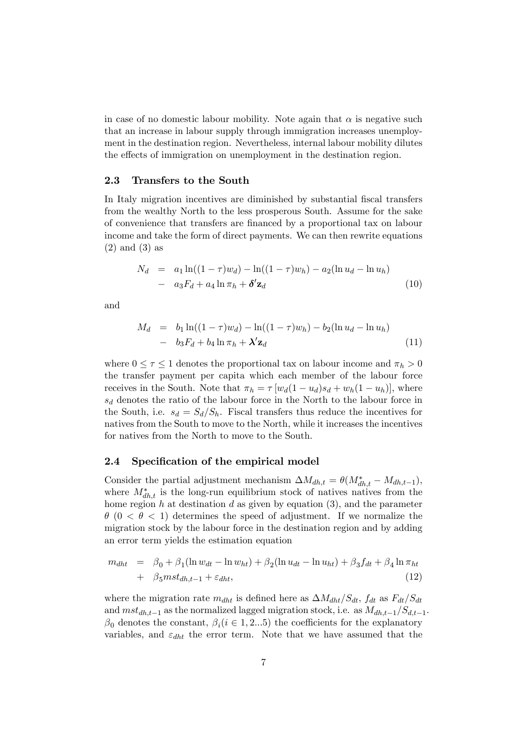in case of no domestic labour mobility. Note again that  $\alpha$  is negative such that an increase in labour supply through immigration increases unemployment in the destination region. Nevertheless, internal labour mobility dilutes the effects of immigration on unemployment in the destination region.

#### 2.3 Transfers to the South

In Italy migration incentives are diminished by substantial fiscal transfers from the wealthy North to the less prosperous South. Assume for the sake of convenience that transfers are Önanced by a proportional tax on labour income and take the form of direct payments. We can then rewrite equations (2) and (3) as

$$
N_d = a_1 \ln((1 - \tau)w_d) - \ln((1 - \tau)w_h) - a_2(\ln u_d - \ln u_h)
$$
  
- 
$$
a_3 F_d + a_4 \ln \pi_h + \delta' \mathbf{z}_d
$$
 (10)

and

$$
M_d = b_1 \ln((1-\tau)w_d) - \ln((1-\tau)w_h) - b_2(\ln u_d - \ln u_h)
$$
  
- 
$$
b_3 F_d + b_4 \ln \pi_h + \lambda' \mathbf{z}_d
$$
 (11)

where  $0 \leq \tau \leq 1$  denotes the proportional tax on labour income and  $\pi_h > 0$ the transfer payment per capita which each member of the labour force receives in the South. Note that  $\pi_h = \tau [w_d(1 - u_d)s_d + w_h(1 - u_h)],$  where  $s_d$  denotes the ratio of the labour force in the North to the labour force in the South, i.e.  $s_d = S_d/S_h$ . Fiscal transfers thus reduce the incentives for natives from the South to move to the North, while it increases the incentives for natives from the North to move to the South.

#### 2.4 Specification of the empirical model

Consider the partial adjustment mechanism  $\Delta M_{dh,t} = \theta(M_{dh,t}^* - M_{dh,t-1}),$ where  $M_{dh,t}^*$  is the long-run equilibrium stock of natives natives from the home region h at destination d as given by equation  $(3)$ , and the parameter  $\theta$  (0 <  $\theta$  < 1) determines the speed of adjustment. If we normalize the migration stock by the labour force in the destination region and by adding an error term yields the estimation equation

$$
m_{dht} = \beta_0 + \beta_1 (\ln w_{dt} - \ln w_{ht}) + \beta_2 (\ln u_{dt} - \ln u_{ht}) + \beta_3 f_{dt} + \beta_4 \ln \pi_{ht} + \beta_5 m st_{dh,t-1} + \varepsilon_{dht},
$$
\n(12)

where the migration rate  $m_{dht}$  is defined here as  $\Delta M_{dht}/S_{dt}$ ,  $f_{dt}$  as  $F_{dt}/S_{dt}$ and  $mst_{dh,t-1}$  as the normalized lagged migration stock, i.e. as  $M_{dh,t-1}/S_{d,t-1}$ .  $\beta_0$  denotes the constant,  $\beta_i (i \in 1, 2...5)$  the coefficients for the explanatory variables, and  $\varepsilon_{dht}$  the error term. Note that we have assumed that the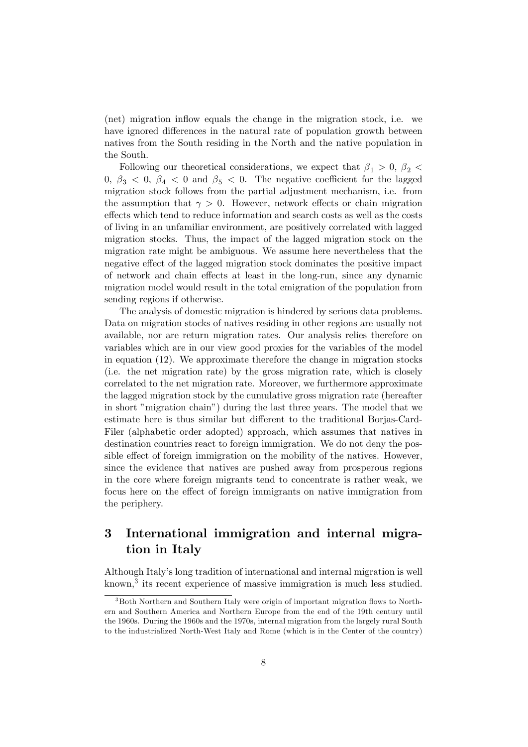(net) migration ináow equals the change in the migration stock, i.e. we have ignored differences in the natural rate of population growth between natives from the South residing in the North and the native population in the South.

Following our theoretical considerations, we expect that  $\beta_1 > 0$ ,  $\beta_2$  $0, \beta_3 < 0, \beta_4 < 0$  and  $\beta_5 < 0$ . The negative coefficient for the lagged migration stock follows from the partial adjustment mechanism, i.e. from the assumption that  $\gamma > 0$ . However, network effects or chain migration effects which tend to reduce information and search costs as well as the costs of living in an unfamiliar environment, are positively correlated with lagged migration stocks. Thus, the impact of the lagged migration stock on the migration rate might be ambiguous. We assume here nevertheless that the negative effect of the lagged migration stock dominates the positive impact of network and chain effects at least in the long-run, since any dynamic migration model would result in the total emigration of the population from sending regions if otherwise.

The analysis of domestic migration is hindered by serious data problems. Data on migration stocks of natives residing in other regions are usually not available, nor are return migration rates. Our analysis relies therefore on variables which are in our view good proxies for the variables of the model in equation (12). We approximate therefore the change in migration stocks (i.e. the net migration rate) by the gross migration rate, which is closely correlated to the net migration rate. Moreover, we furthermore approximate the lagged migration stock by the cumulative gross migration rate (hereafter in short "migration chain") during the last three years. The model that we estimate here is thus similar but different to the traditional Borjas-Card-Filer (alphabetic order adopted) approach, which assumes that natives in destination countries react to foreign immigration. We do not deny the possible effect of foreign immigration on the mobility of the natives. However, since the evidence that natives are pushed away from prosperous regions in the core where foreign migrants tend to concentrate is rather weak, we focus here on the effect of foreign immigrants on native immigration from the periphery.

# 3 International immigration and internal migration in Italy

Although Italyís long tradition of international and internal migration is well known,<sup>3</sup> its recent experience of massive immigration is much less studied.

 $3$ Both Northern and Southern Italy were origin of important migration flows to Northern and Southern America and Northern Europe from the end of the 19th century until the 1960s. During the 1960s and the 1970s, internal migration from the largely rural South to the industrialized North-West Italy and Rome (which is in the Center of the country)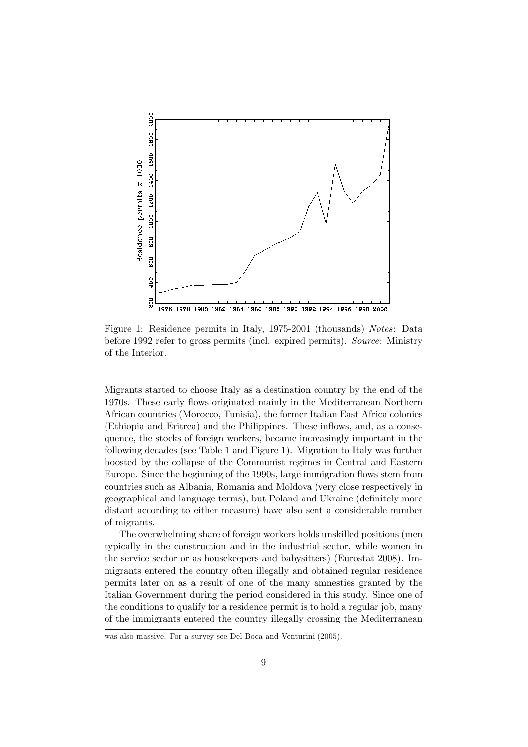

Figure 1: Residence permits in Italy, 1975-2001 (thousands) Notes: Data before 1992 refer to gross permits (incl. expired permits). Source: Ministry of the Interior.

Migrants started to choose Italy as a destination country by the end of the 1970s. These early flows originated mainly in the Mediterranean Northern African countries (Morocco, Tunisia), the former Italian East Africa colonies (Ethiopia and Eritrea) and the Philippines. These inflows, and, as a consequence, the stocks of foreign workers, became increasingly important in the following decades (see Table 1 and Figure 1). Migration to Italy was further boosted by the collapse of the Communist regimes in Central and Eastern Europe. Since the beginning of the 1990s, large immigration flows stem from countries such as Albania, Romania and Moldova (very close respectively in geographical and language terms), but Poland and Ukraine (definitely more distant according to either measure) have also sent a considerable number of migrants.

The overwhelming share of foreign workers holds unskilled positions (men typically in the construction and in the industrial sector, while women in the service sector or as housekeepers and babysitters) (Eurostat 2008). Immigrants entered the country often illegally and obtained regular residence permits later on as a result of one of the many amnesties granted by the Italian Government during the period considered in this study. Since one of the conditions to qualify for a residence permit is to hold a regular job, many of the immigrants entered the country illegally crossing the Mediterranean

was also massive. For a survey see Del Boca and Venturini (2005).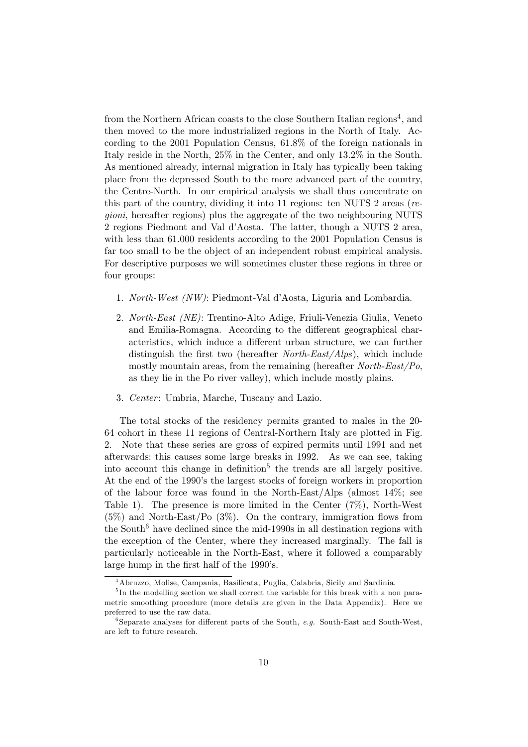from the Northern African coasts to the close Southern Italian regions<sup>4</sup>, and then moved to the more industrialized regions in the North of Italy. According to the 2001 Population Census, 61.8% of the foreign nationals in Italy reside in the North, 25% in the Center, and only 13.2% in the South. As mentioned already, internal migration in Italy has typically been taking place from the depressed South to the more advanced part of the country, the Centre-North. In our empirical analysis we shall thus concentrate on this part of the country, dividing it into 11 regions: ten NUTS 2 areas (regioni, hereafter regions) plus the aggregate of the two neighbouring NUTS 2 regions Piedmont and Val díAosta. The latter, though a NUTS 2 area, with less than 61.000 residents according to the 2001 Population Census is far too small to be the object of an independent robust empirical analysis. For descriptive purposes we will sometimes cluster these regions in three or four groups:

- 1. North-West (NW): Piedmont-Val díAosta, Liguria and Lombardia.
- 2. North-East (NE): Trentino-Alto Adige, Friuli-Venezia Giulia, Veneto and Emilia-Romagna. According to the different geographical characteristics, which induce a different urban structure, we can further distinguish the first two (hereafter North-East/Alps), which include mostly mountain areas, from the remaining (hereafter  $North\text{-}East/Po$ , as they lie in the Po river valley), which include mostly plains.
- 3. Center: Umbria, Marche, Tuscany and Lazio.

The total stocks of the residency permits granted to males in the 20- 64 cohort in these 11 regions of Central-Northern Italy are plotted in Fig. 2. Note that these series are gross of expired permits until 1991 and net afterwards: this causes some large breaks in 1992. As we can see, taking into account this change in definition<sup>5</sup> the trends are all largely positive. At the end of the 1990's the largest stocks of foreign workers in proportion of the labour force was found in the North-East/Alps (almost 14%; see Table 1). The presence is more limited in the Center (7%), North-West  $(5\%)$  and North-East/Po  $(3\%)$ . On the contrary, immigration flows from the South<sup>6</sup> have declined since the mid-1990s in all destination regions with the exception of the Center, where they increased marginally. The fall is particularly noticeable in the North-East, where it followed a comparably large hump in the first half of the 1990's.

<sup>4</sup>Abruzzo, Molise, Campania, Basilicata, Puglia, Calabria, Sicily and Sardinia.

<sup>&</sup>lt;sup>5</sup>In the modelling section we shall correct the variable for this break with a non parametric smoothing procedure (more details are given in the Data Appendix). Here we preferred to use the raw data.

 $6$ Separate analyses for different parts of the South, e.g. South-East and South-West, are left to future research.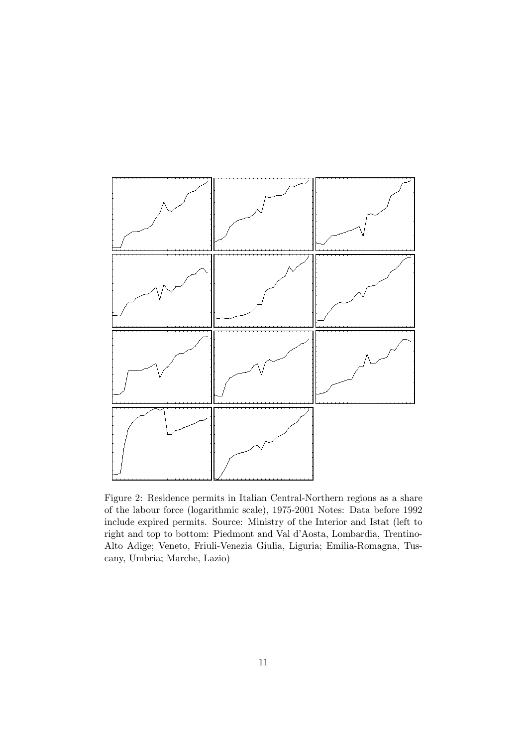

Figure 2: Residence permits in Italian Central-Northern regions as a share of the labour force (logarithmic scale), 1975-2001 Notes: Data before 1992 include expired permits. Source: Ministry of the Interior and Istat (left to right and top to bottom: Piedmont and Val d'Aosta, Lombardia, Trentino-Alto Adige; Veneto, Friuli-Venezia Giulia, Liguria; Emilia-Romagna, Tuscany, Umbria; Marche, Lazio)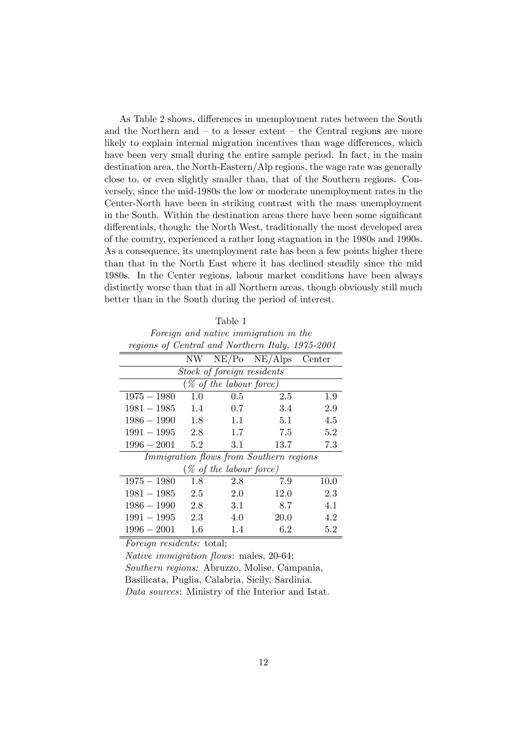As Table 2 shows, differences in unemployment rates between the South and the Northern and  $-$  to a lesser extent  $-$  the Central regions are more likely to explain internal migration incentives than wage differences, which have been very small during the entire sample period. In fact, in the main destination area, the North-Eastern/Alp regions, the wage rate was generally close to, or even slightly smaller than, that of the Southern regions. Conversely, since the mid-1980s the low or moderate unemployment rates in the Center-North have been in striking contrast with the mass unemployment in the South. Within the destination areas there have been some significant differentials, though: the North West, traditionally the most developed area of the country, experienced a rather long stagnation in the 1980s and 1990s. As a consequence, its unemployment rate has been a few points higher there than that in the North East where it has declined steadily since the mid 1980s. In the Center regions, labour market conditions have been always distinctly worse than that in all Northern areas, though obviously still much better than in the South during the period of interest.

Table 1 Foreign and native immigration in the regions of Central and Northern Italy, 1975-2001

|                                                |         |     | $NW$ $NE/Po$ $NE/Alps$ | Center |  |  |  |  |  |
|------------------------------------------------|---------|-----|------------------------|--------|--|--|--|--|--|
| Stock of foreign residents                     |         |     |                        |        |  |  |  |  |  |
| $(\%$ of the labour force)                     |         |     |                        |        |  |  |  |  |  |
| $1975 - 1980$                                  | 1.0     | 0.5 | 2.5                    | 1.9    |  |  |  |  |  |
| $1981 - 1985$                                  | 1.4     | 0.7 | 3.4                    | 2.9    |  |  |  |  |  |
| $1986 - 1990$                                  | 1.8     | 1.1 | 5.1                    | 4.5    |  |  |  |  |  |
| $1991 - 1995$                                  | 2.8     | 1.7 | 7.5                    | 5.2    |  |  |  |  |  |
| $1996 - 2001$                                  | 5.2     | 3.1 | 13.7                   | 7.3    |  |  |  |  |  |
| <i>Immigration flows from Southern regions</i> |         |     |                        |        |  |  |  |  |  |
| $(\%$ of the labour force)                     |         |     |                        |        |  |  |  |  |  |
| $1975 - 1980$                                  | 1.8     | 2.8 | 7.9                    | 10.0   |  |  |  |  |  |
| $1981 - 1985$                                  | 2.5     | 2.0 | 12.0                   | 2.3    |  |  |  |  |  |
| $1986 - 1990$                                  | 2.8     | 3.1 | 8.7                    | 4.1    |  |  |  |  |  |
| $1991 - 1995$                                  | 2.3     | 4.0 | <b>20.0</b>            | 4.2    |  |  |  |  |  |
| $1996 - 2001$                                  | $1.6\,$ | 1.4 | 6.2                    | 5.2    |  |  |  |  |  |

Foreign residents: total;

Native immigration flows: males, 20-64;

Southern regions: Abruzzo, Molise, Campania,

Basilicata, Puglia, Calabria, Sicily, Sardinia.

Data sources: Ministry of the Interior and Istat.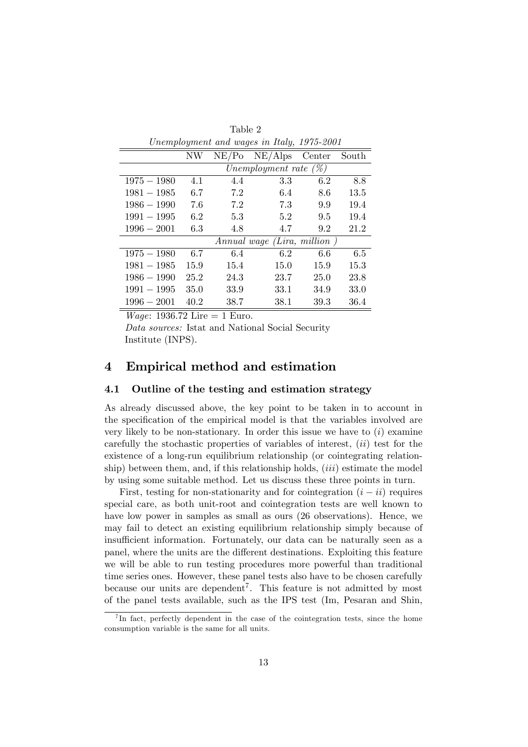| <i>Unemplogment and wages in lang, 1910-2001</i> |                          |       |                  |             |       |  |  |  |  |
|--------------------------------------------------|--------------------------|-------|------------------|-------------|-------|--|--|--|--|
|                                                  | NW                       | NE/Po | $NE/Alps$ Center |             | South |  |  |  |  |
|                                                  | Unemployment rate $(\%)$ |       |                  |             |       |  |  |  |  |
| $1975 - 1980$                                    | 4.1                      | 4.4   | 3.3              | 6.2         | 8.8   |  |  |  |  |
| $1981 - 1985$                                    | 6.7                      | 7.2   | 6.4              | 8.6         | 13.5  |  |  |  |  |
| $1986 - 1990$                                    | 7.6                      | 7.2   | 7.3              | 9.9         | 19.4  |  |  |  |  |
| $1991 - 1995$                                    | 6.2                      | 5.3   | 5.2              | 9.5         | 19.4  |  |  |  |  |
| $1996 - 2001$                                    | 6.3                      | 4.8   | 4.7              | 9.2         | 21.2  |  |  |  |  |
| Annual wage (Lira, million)                      |                          |       |                  |             |       |  |  |  |  |
| $1975 - 1980$                                    | 6.7                      | 6.4   | 6.2              | 6.6         | 6.5   |  |  |  |  |
| $1981 - 1985$                                    | 15.9                     | 15.4  | 15.0             | 15.9        | 15.3  |  |  |  |  |
| $1986 - 1990$                                    | 25.2                     | 24.3  | 23.7             | <b>25.0</b> | 23.8  |  |  |  |  |
| $1991 - 1995$                                    | 35.0                     | 33.9  | 33.1             | 34.9        | 33.0  |  |  |  |  |
| $1996 - 2001$                                    | 40.2                     | 38.7  | 38.1             | 39.3        | 36.4  |  |  |  |  |

Table 2 Unemployment and wages in Italy, 1975-2001

*Wage*: 1936.72 Lire = 1 Euro.

Data sources: Istat and National Social Security Institute (INPS).

## 4 Empirical method and estimation

## 4.1 Outline of the testing and estimation strategy

As already discussed above, the key point to be taken in to account in the specification of the empirical model is that the variables involved are very likely to be non-stationary. In order this issue we have to  $(i)$  examine carefully the stochastic properties of variables of interest,  $(ii)$  test for the existence of a long-run equilibrium relationship (or cointegrating relationship) between them, and, if this relationship holds,  $(iii)$  estimate the model by using some suitable method. Let us discuss these three points in turn.

First, testing for non-stationarity and for cointegration  $(i - ii)$  requires special care, as both unit-root and cointegration tests are well known to have low power in samples as small as ours (26 observations). Hence, we may fail to detect an existing equilibrium relationship simply because of insufficient information. Fortunately, our data can be naturally seen as a panel, where the units are the different destinations. Exploiting this feature we will be able to run testing procedures more powerful than traditional time series ones. However, these panel tests also have to be chosen carefully because our units are dependent<sup>7</sup>. This feature is not admitted by most of the panel tests available, such as the IPS test (Im, Pesaran and Shin,

<sup>&</sup>lt;sup>7</sup>In fact, perfectly dependent in the case of the cointegration tests, since the home consumption variable is the same for all units.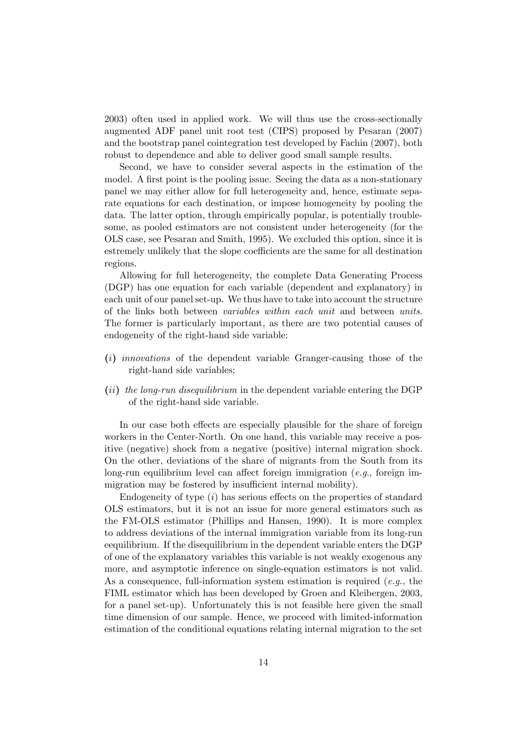2003) often used in applied work. We will thus use the cross-sectionally augmented ADF panel unit root test (CIPS) proposed by Pesaran (2007) and the bootstrap panel cointegration test developed by Fachin (2007), both robust to dependence and able to deliver good small sample results.

Second, we have to consider several aspects in the estimation of the model. A first point is the pooling issue. Seeing the data as a non-stationary panel we may either allow for full heterogeneity and, hence, estimate separate equations for each destination, or impose homogeneity by pooling the data. The latter option, through empirically popular, is potentially troublesome, as pooled estimators are not consistent under heterogeneity (for the OLS case, see Pesaran and Smith, 1995). We excluded this option, since it is estremely unlikely that the slope coefficients are the same for all destination regions.

Allowing for full heterogeneity, the complete Data Generating Process (DGP) has one equation for each variable (dependent and explanatory) in each unit of our panel set-up. We thus have to take into account the structure of the links both between variables within each unit and between units. The former is particularly important, as there are two potential causes of endogeneity of the right-hand side variable:

- (i) innovations of the dependent variable Granger-causing those of the right-hand side variables;
- (ii) the long-run disequilibrium in the dependent variable entering the DGP of the right-hand side variable.

In our case both effects are especially plausible for the share of foreign workers in the Center-North. On one hand, this variable may receive a positive (negative) shock from a negative (positive) internal migration shock. On the other, deviations of the share of migrants from the South from its long-run equilibrium level can affect foreign immigration (e.g., foreign immigration may be fostered by insufficient internal mobility).

Endogeneity of type  $(i)$  has serious effects on the properties of standard OLS estimators, but it is not an issue for more general estimators such as the FM-OLS estimator (Phillips and Hansen, 1990). It is more complex to address deviations of the internal immigration variable from its long-run eequilibrium. If the disequilibrium in the dependent variable enters the DGP of one of the explanatory variables this variable is not weakly exogenous any more, and asymptotic inference on single-equation estimators is not valid. As a consequence, full-information system estimation is required  $(e.g., the)$ FIML estimator which has been developed by Groen and Kleibergen, 2003, for a panel set-up). Unfortunately this is not feasible here given the small time dimension of our sample. Hence, we proceed with limited-information estimation of the conditional equations relating internal migration to the set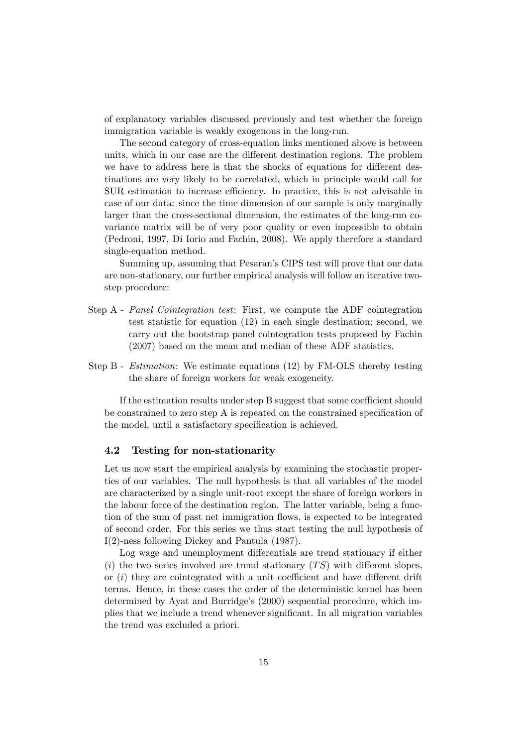of explanatory variables discussed previously and test whether the foreign immigration variable is weakly exogenous in the long-run.

The second category of cross-equation links mentioned above is between units, which in our case are the different destination regions. The problem we have to address here is that the shocks of equations for different destinations are very likely to be correlated, which in principle would call for SUR estimation to increase efficiency. In practice, this is not advisable in case of our data: since the time dimension of our sample is only marginally larger than the cross-sectional dimension, the estimates of the long-run covariance matrix will be of very poor quality or even impossible to obtain (Pedroni, 1997, Di Iorio and Fachin, 2008). We apply therefore a standard single-equation method.

Summing up, assuming that Pesaran's CIPS test will prove that our data are non-stationary, our further empirical analysis will follow an iterative twostep procedure:

- Step A Panel Cointegration test: First, we compute the ADF cointegration test statistic for equation (12) in each single destination; second, we carry out the bootstrap panel cointegration tests proposed by Fachin (2007) based on the mean and median of these ADF statistics.
- Step B Estimation: We estimate equations (12) by FM-OLS thereby testing the share of foreign workers for weak exogeneity.

If the estimation results under step  $B$  suggest that some coefficient should be constrained to zero step A is repeated on the constrained specification of the model, until a satisfactory specification is achieved.

#### 4.2 Testing for non-stationarity

Let us now start the empirical analysis by examining the stochastic properties of our variables. The null hypothesis is that all variables of the model are characterized by a single unit-root except the share of foreign workers in the labour force of the destination region. The latter variable, being a function of the sum of past net immigration flows, is expected to be integrated of second order. For this series we thus start testing the null hypothesis of I(2)-ness following Dickey and Pantula (1987).

Log wage and unemployment differentials are trend stationary if either (i) the two series involved are trend stationary  $(TS)$  with different slopes, or  $(i)$  they are cointegrated with a unit coefficient and have different drift terms. Hence, in these cases the order of the deterministic kernel has been determined by Ayat and Burridge's (2000) sequential procedure, which implies that we include a trend whenever significant. In all migration variables the trend was excluded a priori.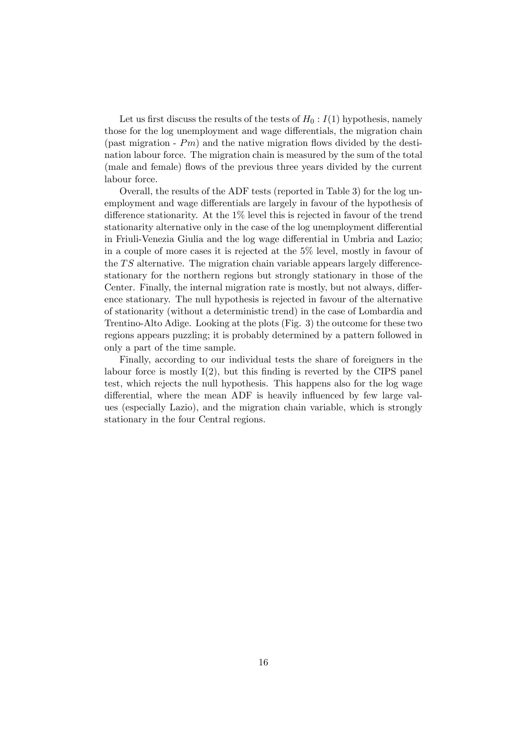Let us first discuss the results of the tests of  $H_0: I(1)$  hypothesis, namely those for the log unemployment and wage differentials, the migration chain (past migration -  $Pm$ ) and the native migration flows divided by the destination labour force. The migration chain is measured by the sum of the total (male and female) flows of the previous three years divided by the current labour force.

Overall, the results of the ADF tests (reported in Table 3) for the log unemployment and wage differentials are largely in favour of the hypothesis of difference stationarity. At the  $1\%$  level this is rejected in favour of the trend stationarity alternative only in the case of the log unemployment differential in Friuli-Venezia Giulia and the log wage differential in Umbria and Lazio; in a couple of more cases it is rejected at the 5% level, mostly in favour of the  $TS$  alternative. The migration chain variable appears largely differencestationary for the northern regions but strongly stationary in those of the Center. Finally, the internal migration rate is mostly, but not always, difference stationary. The null hypothesis is rejected in favour of the alternative of stationarity (without a deterministic trend) in the case of Lombardia and Trentino-Alto Adige. Looking at the plots (Fig. 3) the outcome for these two regions appears puzzling; it is probably determined by a pattern followed in only a part of the time sample.

Finally, according to our individual tests the share of foreigners in the labour force is mostly  $I(2)$ , but this finding is reverted by the CIPS panel test, which rejects the null hypothesis. This happens also for the log wage differential, where the mean ADF is heavily influenced by few large values (especially Lazio), and the migration chain variable, which is strongly stationary in the four Central regions.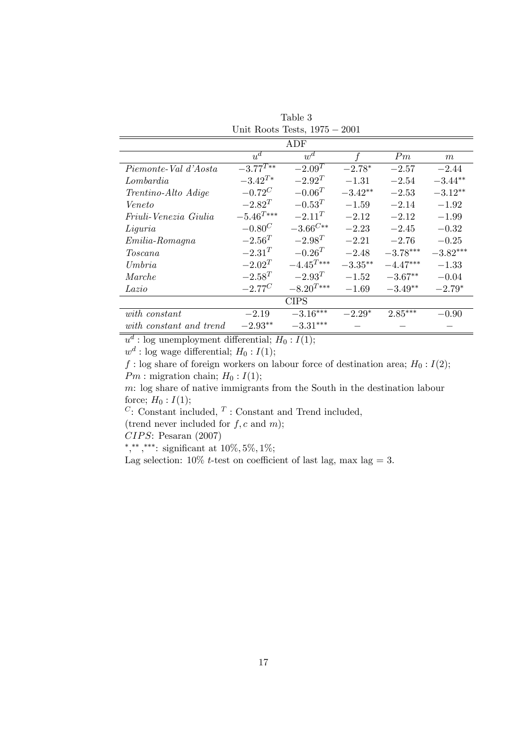| Unit Roots Tests, $1975 - 2001$ |                  |                      |            |            |            |  |  |  |  |  |
|---------------------------------|------------------|----------------------|------------|------------|------------|--|--|--|--|--|
| ADF                             |                  |                      |            |            |            |  |  |  |  |  |
| $u^d$<br>$w^d$<br>f<br>Pm<br>m  |                  |                      |            |            |            |  |  |  |  |  |
| Piemonte-Val d'Aosta            | $-3.77^{T**}$    | $-2.\overline{09}^T$ | $-2.78*$   | $-2.57$    | $-2.44$    |  |  |  |  |  |
| ${\it Lombardia}$               | $-3.42^{T*}$     | $-2.92^{T}$          | $-1.31$    | $-2.54$    | $-3.44**$  |  |  |  |  |  |
| Trentino-Alto Adige             | $-0.72^{C}$      | $-0.06^{T}$          | $-3.42**$  | $-2.53$    | $-3.12**$  |  |  |  |  |  |
| Veneto                          | $-2.82^{T}$      | $-0.53^{T}$          | $-1.59$    | $-2.14$    | $-1.92$    |  |  |  |  |  |
| Friuli-Venezia Giulia           | $-5.46^{T***}\,$ | $-2.11^{T}$          | $-2.12$    | $-2.12$    | $-1.99$    |  |  |  |  |  |
| Liguria                         | $-0.80^{C}$      | $-3.66^{C\ast\ast}$  | $-2.23$    | $-2.45$    | $-0.32$    |  |  |  |  |  |
| $Emilia-Romagna$                | $-2.56^{T}$      | $-2.98^{T}$          | $-2.21$    | $-2.76$    | $-0.25$    |  |  |  |  |  |
| Toscana                         | $-2.31^{T}$      | $-0.26^{T}$          | $-2.48$    | $-3.78***$ | $-3.82***$ |  |  |  |  |  |
| U <sub>m</sub> bra              | $-2.02^{T}$      | $-4.45^{T***}\,$     | $-3.35***$ | $-4.47***$ | $-1.33$    |  |  |  |  |  |
| $\emph{Marche}$                 | $-2.58^{T}$      | $-2.93^{T}$          | $-1.52$    | $-3.67**$  | $-0.04$    |  |  |  |  |  |
| Lazio                           | $-2.77^{C}$      | $-8.20^{T***}$       | $-1.69$    | $-3.49**$  | $-2.79*$   |  |  |  |  |  |
| <b>CIPS</b>                     |                  |                      |            |            |            |  |  |  |  |  |
| with constant                   | $-2.19$          | $-3.16***$           | $-2.29*$   | $2.85***$  | $-0.90$    |  |  |  |  |  |
| with constant and trend         | $-2.93**$        | $-3.31***$           |            |            |            |  |  |  |  |  |

Table 3

 $u^d$ : log unemployment differential;  $H_0: I(1)$ ;

 $w^d$ : log wage differential;  $H_0: I(1)$ ;

f : log share of foreign workers on labour force of destination area;  $H_0: I(2)$ ;  $Pm$ : migration chain;  $H_0: I(1)$ ;

m: log share of native immigrants from the South in the destination labour force;  $H_0: I(1)$ ;

 $C:$  Constant included,  $T:$  Constant and Trend included,

(trend never included for  $f, c$  and  $m$ );

 $CIPS:$  Pesaran (2007)

\*,\*\*,\*\*\*: significant at  $10\%, 5\%, 1\%;$ 

Lag selection:  $10\%$  t-test on coefficient of last lag, max lag = 3.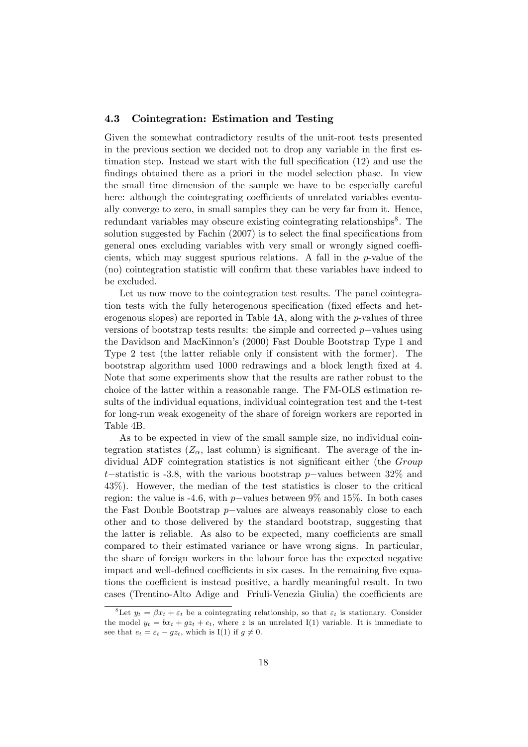## 4.3 Cointegration: Estimation and Testing

Given the somewhat contradictory results of the unit-root tests presented in the previous section we decided not to drop any variable in the first estimation step. Instead we start with the full specification  $(12)$  and use the findings obtained there as a priori in the model selection phase. In view the small time dimension of the sample we have to be especially careful here: although the cointegrating coefficients of unrelated variables eventually converge to zero, in small samples they can be very far from it. Hence, redundant variables may obscure existing cointegrating relationships<sup>8</sup>. The solution suggested by Fachin  $(2007)$  is to select the final specifications from general ones excluding variables with very small or wrongly signed coefficients, which may suggest spurious relations. A fall in the  $p$ -value of the (no) cointegration statistic will confirm that these variables have indeed to be excluded.

Let us now move to the cointegration test results. The panel cointegration tests with the fully heterogenous specification (fixed effects and heterogenous slopes) are reported in Table  $4A$ , along with the *p*-values of three versions of bootstrap tests results: the simple and corrected  $p$ -values using the Davidson and MacKinnon's (2000) Fast Double Bootstrap Type 1 and Type 2 test (the latter reliable only if consistent with the former). The bootstrap algorithm used 1000 redrawings and a block length Öxed at 4. Note that some experiments show that the results are rather robust to the choice of the latter within a reasonable range. The FM-OLS estimation results of the individual equations, individual cointegration test and the t-test for long-run weak exogeneity of the share of foreign workers are reported in Table 4B.

As to be expected in view of the small sample size, no individual cointegration statistes  $(Z_{\alpha})$ , last column) is significant. The average of the individual ADF cointegration statistics is not significant either (the *Group* t-statistic is -3.8, with the various bootstrap p-values between  $32\%$  and 43%). However, the median of the test statistics is closer to the critical region: the value is -4.6, with p-values between 9% and 15%. In both cases the Fast Double Bootstrap  $p$ -values are alweavs reasonably close to each other and to those delivered by the standard bootstrap, suggesting that the latter is reliable. As also to be expected, many coefficients are small compared to their estimated variance or have wrong signs. In particular, the share of foreign workers in the labour force has the expected negative impact and well-defined coefficients in six cases. In the remaining five equations the coefficient is instead positive, a hardly meaningful result. In two cases (Trentino-Alto Adige and Friuli-Venezia Giulia) the coefficients are

<sup>&</sup>lt;sup>8</sup>Let  $y_t = \beta x_t + \varepsilon_t$  be a cointegrating relationship, so that  $\varepsilon_t$  is stationary. Consider the model  $y_t = bx_t + gz_t + e_t$ , where z is an unrelated I(1) variable. It is immediate to see that  $e_t = \varepsilon_t - gz_t$ , which is I(1) if  $q \neq 0$ .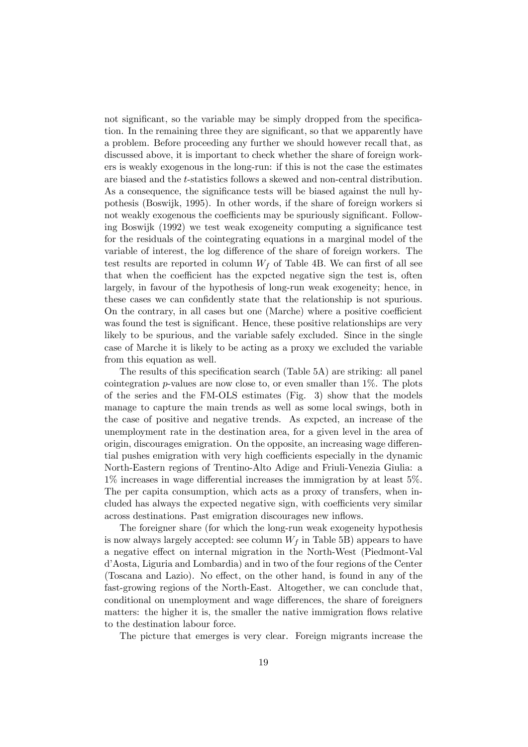not significant, so the variable may be simply dropped from the specification. In the remaining three they are significant, so that we apparently have a problem. Before proceeding any further we should however recall that, as discussed above, it is important to check whether the share of foreign workers is weakly exogenous in the long-run: if this is not the case the estimates are biased and the t-statistics follows a skewed and non-central distribution. As a consequence, the significance tests will be biased against the null hypothesis (Boswijk, 1995). In other words, if the share of foreign workers si not weakly exogenous the coefficients may be spuriously significant. Following Boswijk (1992) we test weak exogeneity computing a significance test for the residuals of the cointegrating equations in a marginal model of the variable of interest, the log difference of the share of foreign workers. The test results are reported in column  $W_f$  of Table 4B. We can first of all see that when the coefficient has the expcted negative sign the test is, often largely, in favour of the hypothesis of long-run weak exogeneity; hence, in these cases we can confidently state that the relationship is not spurious. On the contrary, in all cases but one (Marche) where a positive coefficient was found the test is significant. Hence, these positive relationships are very likely to be spurious, and the variable safely excluded. Since in the single case of Marche it is likely to be acting as a proxy we excluded the variable from this equation as well.

The results of this specification search (Table 5A) are striking: all panel cointegration p-values are now close to, or even smaller than  $1\%$ . The plots of the series and the FM-OLS estimates (Fig. 3) show that the models manage to capture the main trends as well as some local swings, both in the case of positive and negative trends. As expcted, an increase of the unemployment rate in the destination area, for a given level in the area of origin, discourages emigration. On the opposite, an increasing wage differential pushes emigration with very high coefficients especially in the dynamic North-Eastern regions of Trentino-Alto Adige and Friuli-Venezia Giulia: a  $1\%$  increases in wage differential increases the immigration by at least 5%. The per capita consumption, which acts as a proxy of transfers, when included has always the expected negative sign, with coefficients very similar across destinations. Past emigration discourages new inflows.

The foreigner share (for which the long-run weak exogeneity hypothesis is now always largely accepted: see column  $W_f$  in Table 5B) appears to have a negative effect on internal migration in the North-West (Piedmont-Val díAosta, Liguria and Lombardia) and in two of the four regions of the Center (Toscana and Lazio). No effect, on the other hand, is found in any of the fast-growing regions of the North-East. Altogether, we can conclude that, conditional on unemployment and wage differences, the share of foreigners matters: the higher it is, the smaller the native immigration flows relative to the destination labour force.

The picture that emerges is very clear. Foreign migrants increase the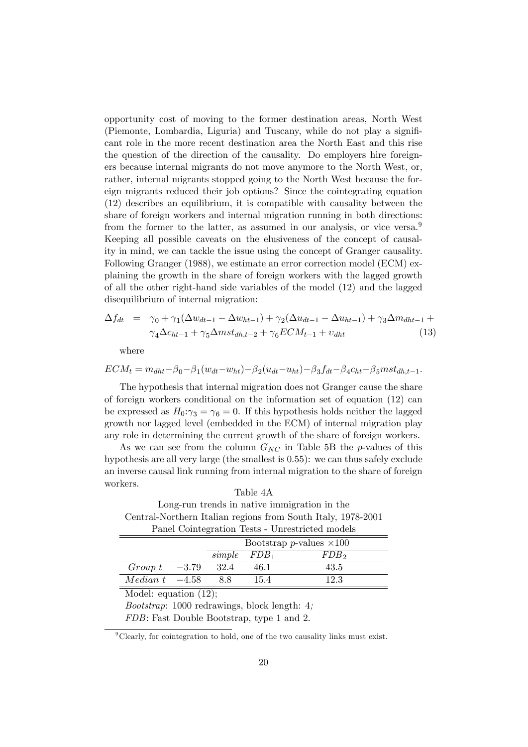opportunity cost of moving to the former destination areas, North West (Piemonte, Lombardia, Liguria) and Tuscany, while do not play a signiÖcant role in the more recent destination area the North East and this rise the question of the direction of the causality. Do employers hire foreigners because internal migrants do not move anymore to the North West, or, rather, internal migrants stopped going to the North West because the foreign migrants reduced their job options? Since the cointegrating equation (12) describes an equilibrium, it is compatible with causality between the share of foreign workers and internal migration running in both directions: from the former to the latter, as assumed in our analysis, or vice versa.<sup>9</sup> Keeping all possible caveats on the elusiveness of the concept of causality in mind, we can tackle the issue using the concept of Granger causality. Following Granger (1988), we estimate an error correction model (ECM) explaining the growth in the share of foreign workers with the lagged growth of all the other right-hand side variables of the model (12) and the lagged disequilibrium of internal migration:

$$
\Delta f_{dt} = \gamma_0 + \gamma_1 (\Delta w_{dt-1} - \Delta w_{ht-1}) + \gamma_2 (\Delta u_{dt-1} - \Delta u_{ht-1}) + \gamma_3 \Delta m_{dht-1} +
$$
  

$$
\gamma_4 \Delta c_{ht-1} + \gamma_5 \Delta m st_{dh,t-2} + \gamma_6 ECM_{t-1} + v_{dht}
$$
 (13)

where

$$
ECM_t = m_{dht} - \beta_0 - \beta_1 (w_{dt} - w_{ht}) - \beta_2 (u_{dt} - u_{ht}) - \beta_3 f_{dt} - \beta_4 c_{ht} - \beta_5 m s t_{dh,t-1}.
$$

The hypothesis that internal migration does not Granger cause the share of foreign workers conditional on the information set of equation (12) can be expressed as  $H_0: \gamma_3 = \gamma_6 = 0$ . If this hypothesis holds neither the lagged growth nor lagged level (embedded in the ECM) of internal migration play any role in determining the current growth of the share of foreign workers.

As we can see from the column  $G_{NC}$  in Table 5B the p-values of this hypothesis are all very large (the smallest is 0.55): we can thus safely exclude an inverse causal link running from internal migration to the share of foreign workers.

Central-Northern Italian regions from South Italy, 1978-2001 Panel Cointegration Tests - Unrestricted models Bootstrap *p*-values  $\times 100$  $simple$   $FDB<sub>1</sub>$   $FDB<sub>2</sub>$  $Group\;t\quad -3.79\quad 32.4\quad 46.1\quad 43.5\ \nMedian\;t\quad -4.58\quad 8.8\quad 15.4\quad 12.3$  $Median t$ 

Table 4A Long-run trends in native immigration in the

Model: equation (12);

Bootstrap: 1000 redrawings, block length: 4;

FDB: Fast Double Bootstrap, type 1 and 2.

 $\rm{^{9}Clearly, for\ cointegration\ to\ hold, \ one\ of\ the\ two\ causality\ links\ must\ exist.}$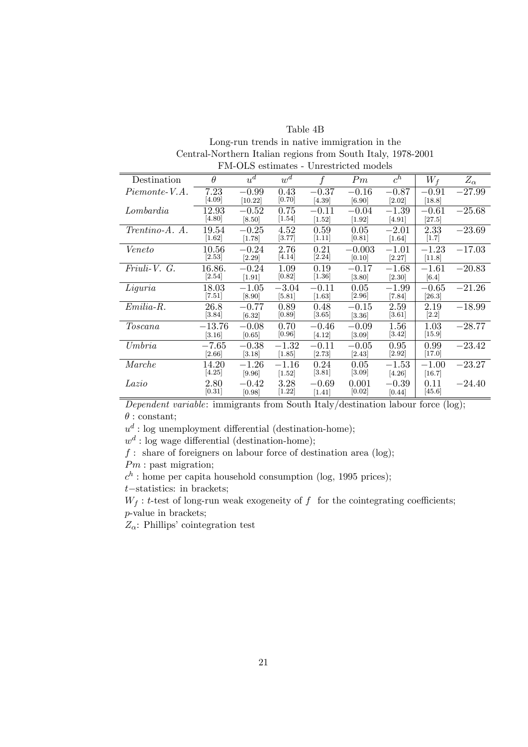Table 4B Long-run trends in native immigration in the Central-Northern Italian regions from South Italy, 1978-2001 FM-OLS estimates - Unrestricted models

| Destination      | $\theta$            | $u^d$    | $w^{\overline{d}}$ |          | Pm                  | $c^h$    | $W_f$    | $Z_{\alpha}$ |
|------------------|---------------------|----------|--------------------|----------|---------------------|----------|----------|--------------|
| Piemonte-V.A.    | 7.23                | $-0.99$  | 0.43               | $-0.37$  | $-0.16$             | $-0.87$  | $-0.91$  | $-27.99$     |
|                  | [4.09]              | [10.22]  | [0.70]             | [4.39]   | [6.90]              | [2.02]   | [18.8]   |              |
| Lombardia        | 12.93               | $-0.52$  | 0.75               | $-0.11$  | $-0.04$             | $-1.39$  | $-0.61$  | $-25.68$     |
|                  | [4.80]              | [8.50]   | 1.54               | $[1.52]$ | $[1.92]$            | $[4.91]$ | [27.5]   |              |
| $Trentino-A. A.$ | 19.54               | $-0.25$  | 4.52               | 0.59     | 0.05                | $-2.01$  | 2.33     | $-23.69$     |
|                  | $[1.62]$            | [1.78]   | [3.77]             | 1.11     | [0.81]              | $[1.64]$ | $[1.7]$  |              |
| Veneto           | $10.56\,$           | $-0.24$  | 2.76               | 0.21     | $-0.003$            | $-1.01$  | $-1.23$  | $-17.03$     |
|                  | [2.53]              | [2.29]   | [4.14]             | $[2.24]$ | [0.10]              | [2.27]   | $[11.8]$ |              |
| $Friuli-V. G.$   | 16.86.              | $-0.24$  | 1.09               | 0.19     | $-0.17$             | $-1.68$  | $-1.61$  | $-20.83$     |
|                  | $[2.54]$            | $[1.91]$ | [0.82]             | $[1.36]$ | [3.80]              | [2.30]   | [6.4]    |              |
| Liguria          | 18.03               | $-1.05$  | $-3.04$            | $-0.11$  | 0.05                | $-1.99$  | $-0.65$  | $-21.26$     |
|                  | [7.51]              | [8.90]   | [5.81]             | [1.63]   | [2.96]              | [7.84]   | [26.3]   |              |
| $Emilia-R.$      | 26.8                | $-0.77$  | 0.89               | 0.48     | $-0.15$             | 2.59     | 2.19     | $-18.99$     |
|                  | $\left[3.84\right]$ | [6.32]   | [0.89]             | $[3.65]$ | [3.36]              | $[3.61]$ | $[2.2]$  |              |
| Toscana          | $-13.76$            | $-0.08$  | 0.70               | $-0.46$  | $-0.09$             | 1.56     | 1.03     | $-28.77$     |
|                  | [3.16]              | [0.65]   | [0.96]             | [4.12]   | [3.09]              | [3.42]   | [15.9]   |              |
| Umbria           | $-7.65$             | $-0.38$  | $-1.32$            | $-0.11$  | $-0.05$             | 0.95     | 0.99     | $-23.42$     |
|                  | $[2.66]$            | [3.18]   | [1.85]             | [2.73]   | [2.43]              | [2.92]   | [17.0]   |              |
| Marche           | 14.20               | $-1.26$  | $-1.16$            | 0.24     | 0.05                | $-1.53$  | $-1.00$  | $-23.27$     |
|                  | [4.25]              | [9.96]   | $[1.52]$           | [3.81]   | $\left[3.09\right]$ | [4.26]   | [16.7]   |              |
| Lazio            | 2.80                | $-0.42$  | 3.28               | $-0.69$  | 0.001               | $-0.39$  | 0.11     | $-24.40$     |
|                  | [0.31]              | [0.98]   | $[1.22]$           | $[1.41]$ | [0.02]              | [0.44]   | [45.6]   |              |
|                  |                     |          |                    |          |                     |          |          |              |

Dependent variable: immigrants from South Italy/destination labour force (log);  $\theta$ : constant;

 $u^d$ : log unemployment differential (destination-home);

 $w<sup>d</sup>$ : log wage differential (destination-home);

f : share of foreigners on labour force of destination area (log);

Pm : past migration;

 $c<sup>h</sup>$ : home per capita household consumption (log, 1995 prices);

 $t$ -statistics: in brackets;

 $W_f$ : t-test of long-run weak exogeneity of f for the cointegrating coefficients; p-value in brackets;

 $Z_{\alpha}$ : Phillips' cointegration test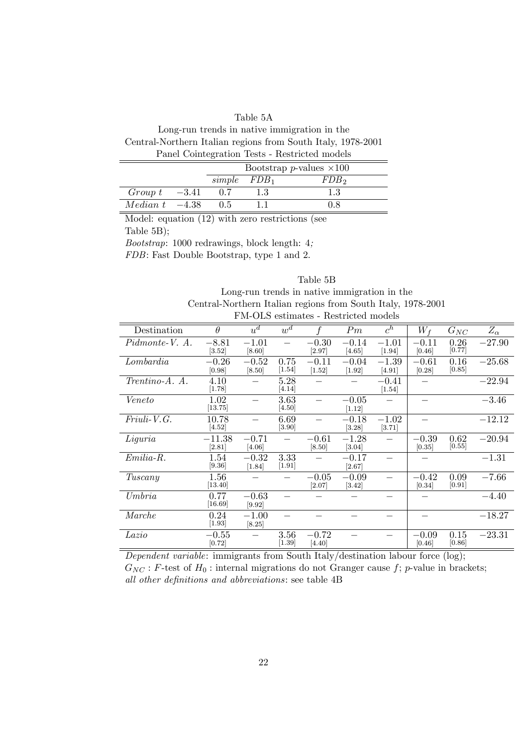## Table 5A

Long-run trends in native immigration in the Central-Northern Italian regions from South Italy, 1978-2001 Panel Cointegration Tests - Restricted models

|                             | Bootstrap <i>p</i> -values $\times 100$ |  |         |  |  |  |  |
|-----------------------------|-----------------------------------------|--|---------|--|--|--|--|
|                             | $simple$ $FDB_1$                        |  | $FDB_2$ |  |  |  |  |
| $Group\ t\quad -3.41$       | 0.7                                     |  | 1.3     |  |  |  |  |
| <i>Median t</i> $-4.38$ 0.5 |                                         |  | 0.8     |  |  |  |  |
|                             |                                         |  |         |  |  |  |  |

Model: equation (12) with zero restrictions (see Table 5B); Bootstrap: 1000 redrawings, block length: 4;

FDB: Fast Double Bootstrap, type 1 and 2.

## Table 5B Long-run trends in native immigration in the Central-Northern Italian regions from South Italy, 1978-2001 FM-OLS estimates - Restricted models

| Destination        | $\theta$             | $\overline{u}^d$    | $w^{\overline{d}}$ |                     | Pm                  | $c^h$               | $W_f$             | ${\cal G}_{NC}$ | $Z_{\alpha}$ |
|--------------------|----------------------|---------------------|--------------------|---------------------|---------------------|---------------------|-------------------|-----------------|--------------|
| Pidmonte-V. A.     | $-8.81$<br>[3.52]    | $-1.01$<br>[8.60]   |                    | $-0.30$<br>[2.97]   | $-0.14$<br>$[4.65]$ | $-1.01$<br>$[1.94]$ | $-0.11$<br>[0.46] | 0.26<br>[0.77]  | $-27.90$     |
| Lombardia          | $-0.26$<br>[0.98]    | $-0.52$<br>[8.50]   | 0.75<br>[1.54]     | $-0.11$<br>$[1.52]$ | $-0.04$<br>$[1.92]$ | $-1.39$<br>[4.91]   | $-0.61$<br>[0.28] | 0.16<br>[0.85]  | $-25.68$     |
| Trentino-A. A.     | 4.10<br>[1.78]       |                     | 5.28<br>[4.14]     |                     |                     | $-0.41$<br>$[1.54]$ |                   |                 | $-22.94$     |
| Veneto             | 1.02<br>[13.75]      |                     | 3.63<br>[4.50]     |                     | $-0.05$<br>[1.12]   |                     |                   |                 | $-3.46$      |
| $Friuli-V.G.$      | 10.78<br>[4.52]      |                     | 6.69<br>$[3.90]$   |                     | $-0.18$<br>[3.28]   | $-1.02$<br>[3.71]   |                   |                 | $-12.12$     |
| Liguria            | $-11.38\,$<br>[2.81] | $-0.71$<br>[4.06]   |                    | $-0.61$<br>[8.50]   | $-1.28$<br>[3.04]   |                     | $-0.39$<br>[0.35] | 0.62<br>[0.55]  | $-20.94$     |
| $Emilia-R.$        | 1.54<br>[9.36]       | $-0.32$<br>$[1.84]$ | 3.33<br>$[1.91]$   |                     | $-0.17$<br>[2.67]   |                     |                   |                 | $-1.31$      |
| Tuscany            | 1.56<br>[13.40]      |                     |                    | $-0.05$<br>[2.07]   | $-0.09$<br>$[3.42]$ |                     | $-0.42$<br>[0.34] | 0.09<br>[0.91]  | $-7.66$      |
| U <sub>m</sub> bra | 0.77<br>[16.69]      | $-0.63$<br>[9.92]   |                    |                     |                     |                     |                   |                 | $-4.40$      |
| Marche             | 0.24<br>$[1.93]$     | $-1.00$<br>[8.25]   |                    |                     |                     |                     |                   |                 | $-18.27$     |
| Lazio              | $-0.55$<br>[0.72]    |                     | 3.56<br>$[1.39]$   | $-0.72$<br>[4.40]   |                     |                     | $-0.09$<br>[0.46] | 0.15<br>[0.86]  | $-23.31$     |

Dependent variable: immigrants from South Italy/destination labour force (log);  $G_{NC}$ : F-test of  $H_0$ : internal migrations do not Granger cause f; p-value in brackets; all other definitions and abbreviations: see table 4B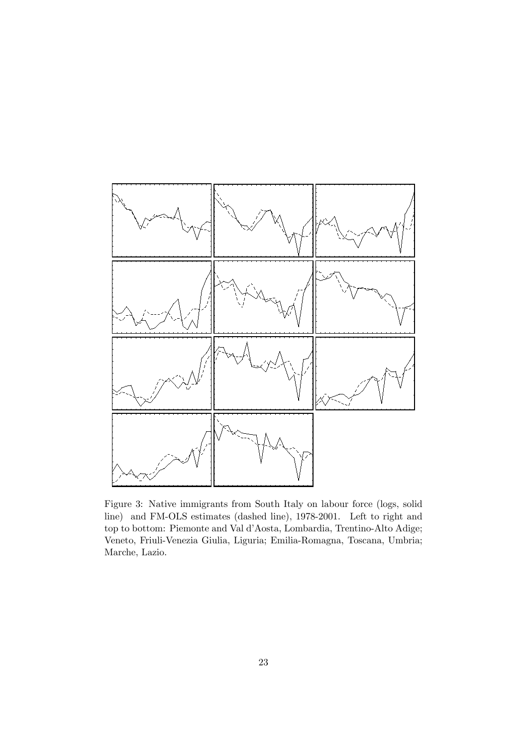

Figure 3: Native immigrants from South Italy on labour force (logs, solid line) and FM-OLS estimates (dashed line), 1978-2001. Left to right and top to bottom: Piemonte and Val d'Aosta, Lombardia, Trentino-Alto Adige; Veneto, Friuli-Venezia Giulia, Liguria; Emilia-Romagna, Toscana, Umbria; Marche, Lazio.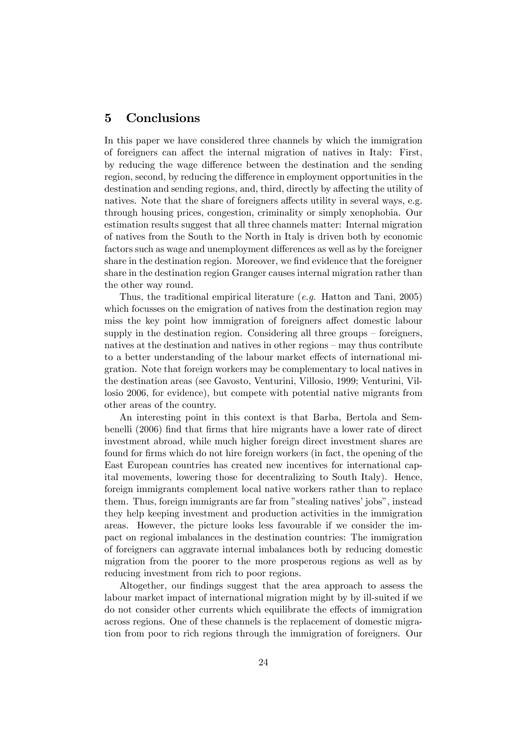## 5 Conclusions

In this paper we have considered three channels by which the immigration of foreigners can affect the internal migration of natives in Italy: First, by reducing the wage difference between the destination and the sending region, second, by reducing the difference in employment opportunities in the destination and sending regions, and, third, directly by affecting the utility of natives. Note that the share of foreigners affects utility in several ways, e.g. through housing prices, congestion, criminality or simply xenophobia. Our estimation results suggest that all three channels matter: Internal migration of natives from the South to the North in Italy is driven both by economic factors such as wage and unemployment differences as well as by the foreigner share in the destination region. Moreover, we find evidence that the foreigner share in the destination region Granger causes internal migration rather than the other way round.

Thus, the traditional empirical literature  $(e.g.$  Hatton and Tani, 2005) which focusses on the emigration of natives from the destination region may miss the key point how immigration of foreigners affect domestic labour supply in the destination region. Considering all three groups  $-$  foreigners, natives at the destination and natives in other regions  $-\text{may}$  thus contribute to a better understanding of the labour market effects of international migration. Note that foreign workers may be complementary to local natives in the destination areas (see Gavosto, Venturini, Villosio, 1999; Venturini, Villosio 2006, for evidence), but compete with potential native migrants from other areas of the country.

An interesting point in this context is that Barba, Bertola and Sembenelli (2006) find that firms that hire migrants have a lower rate of direct investment abroad, while much higher foreign direct investment shares are found for firms which do not hire foreign workers (in fact, the opening of the East European countries has created new incentives for international capital movements, lowering those for decentralizing to South Italy). Hence, foreign immigrants complement local native workers rather than to replace them. Thus, foreign immigrants are far from "stealing natives' jobs", instead they help keeping investment and production activities in the immigration areas. However, the picture looks less favourable if we consider the impact on regional imbalances in the destination countries: The immigration of foreigners can aggravate internal imbalances both by reducing domestic migration from the poorer to the more prosperous regions as well as by reducing investment from rich to poor regions.

Altogether, our findings suggest that the area approach to assess the labour market impact of international migration might by by ill-suited if we do not consider other currents which equilibrate the effects of immigration across regions. One of these channels is the replacement of domestic migration from poor to rich regions through the immigration of foreigners. Our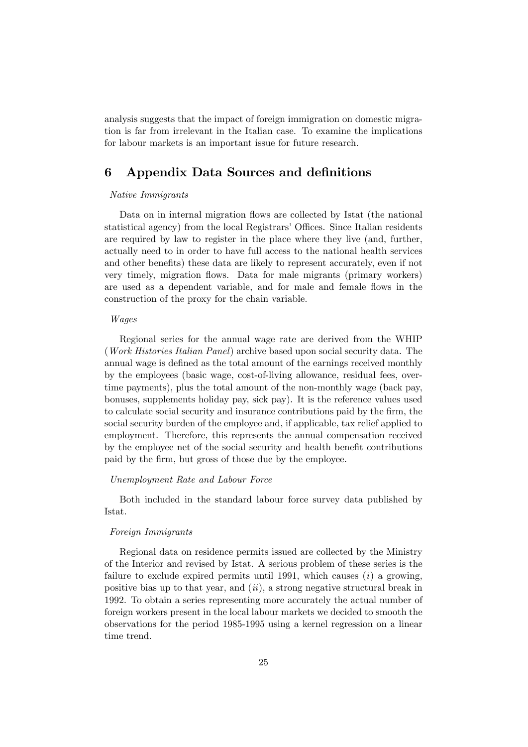analysis suggests that the impact of foreign immigration on domestic migration is far from irrelevant in the Italian case. To examine the implications for labour markets is an important issue for future research.

## 6 Appendix Data Sources and definitions

#### Native Immigrants

Data on in internal migration flows are collected by Istat (the national statistical agency) from the local Registrars' Offices. Since Italian residents are required by law to register in the place where they live (and, further, actually need to in order to have full access to the national health services and other benefits) these data are likely to represent accurately, even if not very timely, migration áows. Data for male migrants (primary workers) are used as a dependent variable, and for male and female flows in the construction of the proxy for the chain variable.

#### Wages

Regional series for the annual wage rate are derived from the WHIP (Work Histories Italian Panel) archive based upon social security data. The annual wage is defined as the total amount of the earnings received monthly by the employees (basic wage, cost-of-living allowance, residual fees, overtime payments), plus the total amount of the non-monthly wage (back pay, bonuses, supplements holiday pay, sick pay). It is the reference values used to calculate social security and insurance contributions paid by the firm, the social security burden of the employee and, if applicable, tax relief applied to employment. Therefore, this represents the annual compensation received by the employee net of the social security and health benefit contributions paid by the Örm, but gross of those due by the employee.

#### Unemployment Rate and Labour Force

Both included in the standard labour force survey data published by Istat.

#### Foreign Immigrants

Regional data on residence permits issued are collected by the Ministry of the Interior and revised by Istat. A serious problem of these series is the failure to exclude expired permits until 1991, which causes  $(i)$  a growing, positive bias up to that year, and  $(ii)$ , a strong negative structural break in 1992. To obtain a series representing more accurately the actual number of foreign workers present in the local labour markets we decided to smooth the observations for the period 1985-1995 using a kernel regression on a linear time trend.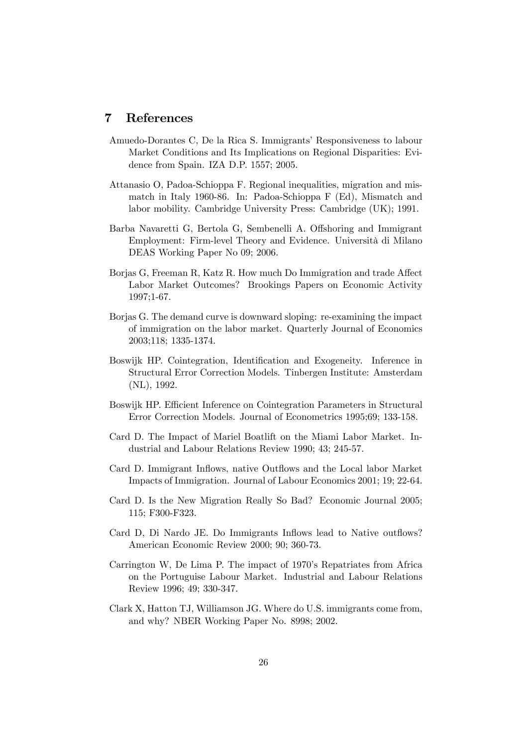## 7 References

- Amuedo-Dorantes C, De la Rica S. Immigrants' Responsiveness to labour Market Conditions and Its Implications on Regional Disparities: Evidence from Spain. IZA D.P. 1557; 2005.
- Attanasio O, Padoa-Schioppa F. Regional inequalities, migration and mismatch in Italy 1960-86. In: Padoa-Schioppa F (Ed), Mismatch and labor mobility. Cambridge University Press: Cambridge (UK); 1991.
- Barba Navaretti G, Bertola G, Sembenelli A. Offshoring and Immigrant Employment: Firm-level Theory and Evidence. Università di Milano DEAS Working Paper No 09; 2006.
- Borjas G, Freeman R, Katz R. How much Do Immigration and trade Affect Labor Market Outcomes? Brookings Papers on Economic Activity 1997;1-67.
- Borjas G. The demand curve is downward sloping: re-examining the impact of immigration on the labor market. Quarterly Journal of Economics 2003;118; 1335-1374.
- Boswijk HP. Cointegration, Identification and Exogeneity. Inference in Structural Error Correction Models. Tinbergen Institute: Amsterdam (NL), 1992.
- Boswijk HP. Efficient Inference on Cointegration Parameters in Structural Error Correction Models. Journal of Econometrics 1995;69; 133-158.
- Card D. The Impact of Mariel Boatlift on the Miami Labor Market. Industrial and Labour Relations Review 1990; 43; 245-57.
- Card D. Immigrant Inflows, native Outflows and the Local labor Market Impacts of Immigration. Journal of Labour Economics 2001; 19; 22-64.
- Card D. Is the New Migration Really So Bad? Economic Journal 2005; 115; F300-F323.
- Card D, Di Nardo JE. Do Immigrants Inflows lead to Native outflows? American Economic Review 2000; 90; 360-73.
- Carrington W, De Lima P. The impact of 1970's Repatriates from Africa on the Portuguise Labour Market. Industrial and Labour Relations Review 1996; 49; 330-347.
- Clark X, Hatton TJ, Williamson JG. Where do U.S. immigrants come from, and why? NBER Working Paper No. 8998; 2002.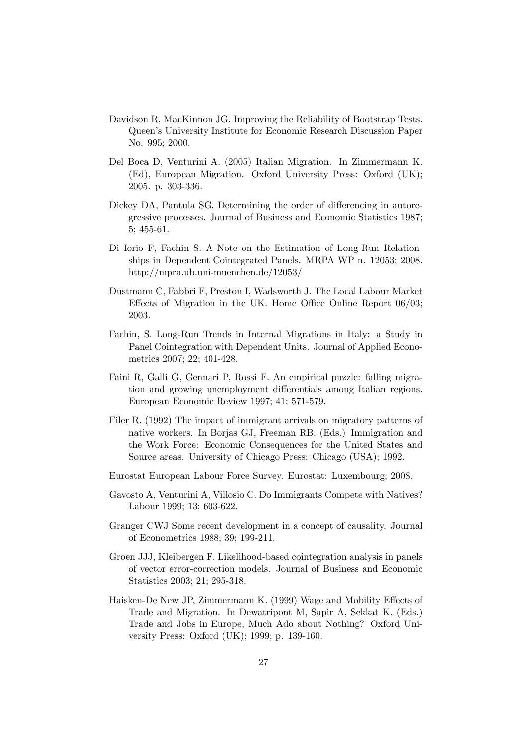- Davidson R, MacKinnon JG. Improving the Reliability of Bootstrap Tests. Queenís University Institute for Economic Research Discussion Paper No. 995; 2000.
- Del Boca D, Venturini A. (2005) Italian Migration. In Zimmermann K. (Ed), European Migration. Oxford University Press: Oxford (UK); 2005. p. 303-336.
- Dickey DA, Pantula SG. Determining the order of differencing in autoregressive processes. Journal of Business and Economic Statistics 1987; 5; 455-61.
- Di Iorio F, Fachin S. A Note on the Estimation of Long-Run Relationships in Dependent Cointegrated Panels. MRPA WP n. 12053; 2008. http://mpra.ub.uni-muenchen.de/12053/
- Dustmann C, Fabbri F, Preston I, Wadsworth J. The Local Labour Market Effects of Migration in the UK. Home Office Online Report  $06/03$ ; 2003.
- Fachin, S. Long-Run Trends in Internal Migrations in Italy: a Study in Panel Cointegration with Dependent Units. Journal of Applied Econometrics 2007; 22; 401-428.
- Faini R, Galli G, Gennari P, Rossi F. An empirical puzzle: falling migration and growing unemployment differentials among Italian regions. European Economic Review 1997; 41; 571-579.
- Filer R. (1992) The impact of immigrant arrivals on migratory patterns of native workers. In Borjas GJ, Freeman RB. (Eds.) Immigration and the Work Force: Economic Consequences for the United States and Source areas. University of Chicago Press: Chicago (USA); 1992.
- Eurostat European Labour Force Survey. Eurostat: Luxembourg; 2008.
- Gavosto A, Venturini A, Villosio C. Do Immigrants Compete with Natives? Labour 1999; 13; 603-622.
- Granger CWJ Some recent development in a concept of causality. Journal of Econometrics 1988; 39; 199-211.
- Groen JJJ, Kleibergen F. Likelihood-based cointegration analysis in panels of vector error-correction models. Journal of Business and Economic Statistics 2003; 21; 295-318.
- Haisken-De New JP, Zimmermann K. (1999) Wage and Mobility Effects of Trade and Migration. In Dewatripont M, Sapir A, Sekkat K. (Eds.) Trade and Jobs in Europe, Much Ado about Nothing? Oxford University Press: Oxford (UK); 1999; p. 139-160.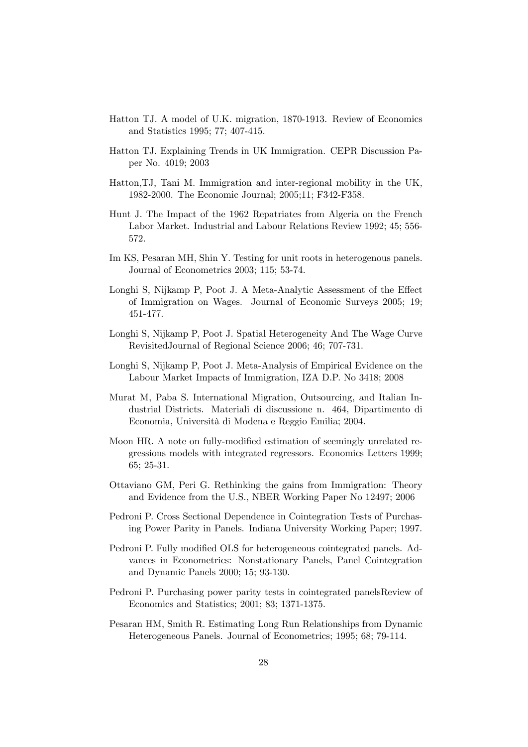- Hatton TJ. A model of U.K. migration, 1870-1913. Review of Economics and Statistics 1995; 77; 407-415.
- Hatton TJ. Explaining Trends in UK Immigration. CEPR Discussion Paper No. 4019; 2003
- Hatton,TJ, Tani M. Immigration and inter-regional mobility in the UK, 1982-2000. The Economic Journal; 2005;11; F342-F358.
- Hunt J. The Impact of the 1962 Repatriates from Algeria on the French Labor Market. Industrial and Labour Relations Review 1992; 45; 556- 572.
- Im KS, Pesaran MH, Shin Y. Testing for unit roots in heterogenous panels. Journal of Econometrics 2003; 115; 53-74.
- Longhi S, Nijkamp P, Poot J. A Meta-Analytic Assessment of the Effect of Immigration on Wages. Journal of Economic Surveys 2005; 19; 451-477.
- Longhi S, Nijkamp P, Poot J. Spatial Heterogeneity And The Wage Curve RevisitedJournal of Regional Science 2006; 46; 707-731.
- Longhi S, Nijkamp P, Poot J. Meta-Analysis of Empirical Evidence on the Labour Market Impacts of Immigration, IZA D.P. No 3418; 2008
- Murat M, Paba S. International Migration, Outsourcing, and Italian Industrial Districts. Materiali di discussione n. 464, Dipartimento di Economia, Università di Modena e Reggio Emilia; 2004.
- Moon HR. A note on fully-modified estimation of seemingly unrelated regressions models with integrated regressors. Economics Letters 1999; 65; 25-31.
- Ottaviano GM, Peri G. Rethinking the gains from Immigration: Theory and Evidence from the U.S., NBER Working Paper No 12497; 2006
- Pedroni P. Cross Sectional Dependence in Cointegration Tests of Purchasing Power Parity in Panels. Indiana University Working Paper; 1997.
- Pedroni P. Fully modified OLS for heterogeneous cointegrated panels. Advances in Econometrics: Nonstationary Panels, Panel Cointegration and Dynamic Panels 2000; 15; 93-130.
- Pedroni P. Purchasing power parity tests in cointegrated panelsReview of Economics and Statistics; 2001; 83; 1371-1375.
- Pesaran HM, Smith R. Estimating Long Run Relationships from Dynamic Heterogeneous Panels. Journal of Econometrics; 1995; 68; 79-114.